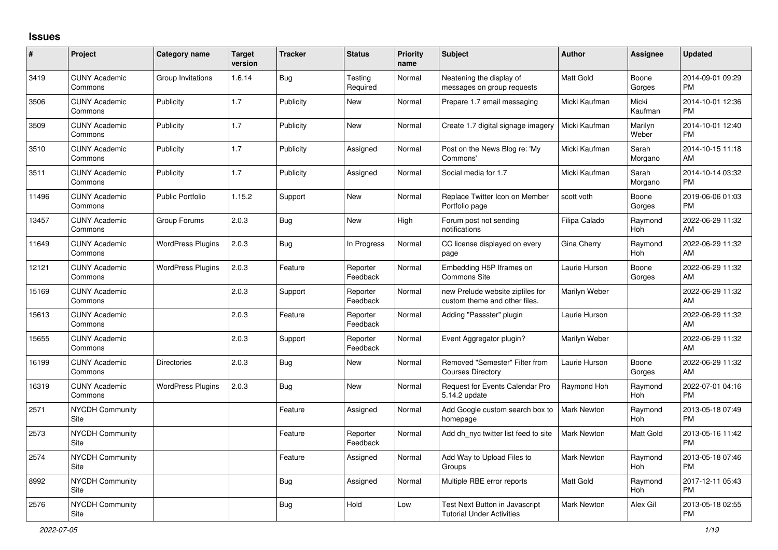## **Issues**

| $\vert$ # | Project                         | <b>Category name</b>     | <b>Target</b><br>version | <b>Tracker</b> | <b>Status</b>        | <b>Priority</b><br>name | <b>Subject</b>                                                     | <b>Author</b>      | <b>Assignee</b>       | <b>Updated</b>                |
|-----------|---------------------------------|--------------------------|--------------------------|----------------|----------------------|-------------------------|--------------------------------------------------------------------|--------------------|-----------------------|-------------------------------|
| 3419      | <b>CUNY Academic</b><br>Commons | Group Invitations        | 1.6.14                   | Bug            | Testing<br>Required  | Normal                  | Neatening the display of<br>messages on group requests             | <b>Matt Gold</b>   | Boone<br>Gorges       | 2014-09-01 09:29<br><b>PM</b> |
| 3506      | <b>CUNY Academic</b><br>Commons | Publicity                | 1.7                      | Publicity      | New                  | Normal                  | Prepare 1.7 email messaging                                        | Micki Kaufman      | Micki<br>Kaufman      | 2014-10-01 12:36<br><b>PM</b> |
| 3509      | <b>CUNY Academic</b><br>Commons | Publicity                | 1.7                      | Publicity      | New                  | Normal                  | Create 1.7 digital signage imagery                                 | Micki Kaufman      | Marilyn<br>Weber      | 2014-10-01 12:40<br><b>PM</b> |
| 3510      | <b>CUNY Academic</b><br>Commons | Publicity                | 1.7                      | Publicity      | Assigned             | Normal                  | Post on the News Blog re: 'My<br>Commons'                          | Micki Kaufman      | Sarah<br>Morgano      | 2014-10-15 11:18<br>AM        |
| 3511      | <b>CUNY Academic</b><br>Commons | Publicity                | 1.7                      | Publicity      | Assigned             | Normal                  | Social media for 1.7                                               | Micki Kaufman      | Sarah<br>Morgano      | 2014-10-14 03:32<br><b>PM</b> |
| 11496     | <b>CUNY Academic</b><br>Commons | <b>Public Portfolio</b>  | 1.15.2                   | Support        | New                  | Normal                  | Replace Twitter Icon on Member<br>Portfolio page                   | scott voth         | Boone<br>Gorges       | 2019-06-06 01:03<br><b>PM</b> |
| 13457     | <b>CUNY Academic</b><br>Commons | Group Forums             | 2.0.3                    | <b>Bug</b>     | <b>New</b>           | High                    | Forum post not sending<br>notifications                            | Filipa Calado      | Raymond<br>Hoh        | 2022-06-29 11:32<br>AM        |
| 11649     | <b>CUNY Academic</b><br>Commons | <b>WordPress Plugins</b> | 2.0.3                    | Bug            | In Progress          | Normal                  | CC license displayed on every<br>page                              | Gina Cherry        | Raymond<br>Hoh        | 2022-06-29 11:32<br>AM        |
| 12121     | <b>CUNY Academic</b><br>Commons | <b>WordPress Plugins</b> | 2.0.3                    | Feature        | Reporter<br>Feedback | Normal                  | Embedding H5P Iframes on<br>Commons Site                           | Laurie Hurson      | Boone<br>Gorges       | 2022-06-29 11:32<br>AM        |
| 15169     | <b>CUNY Academic</b><br>Commons |                          | 2.0.3                    | Support        | Reporter<br>Feedback | Normal                  | new Prelude website zipfiles for<br>custom theme and other files.  | Marilyn Weber      |                       | 2022-06-29 11:32<br>AM        |
| 15613     | <b>CUNY Academic</b><br>Commons |                          | 2.0.3                    | Feature        | Reporter<br>Feedback | Normal                  | Adding "Passster" plugin                                           | Laurie Hurson      |                       | 2022-06-29 11:32<br>AM        |
| 15655     | <b>CUNY Academic</b><br>Commons |                          | 2.0.3                    | Support        | Reporter<br>Feedback | Normal                  | Event Aggregator plugin?                                           | Marilyn Weber      |                       | 2022-06-29 11:32<br>AM        |
| 16199     | <b>CUNY Academic</b><br>Commons | <b>Directories</b>       | 2.0.3                    | <b>Bug</b>     | New                  | Normal                  | Removed "Semester" Filter from<br><b>Courses Directory</b>         | Laurie Hurson      | Boone<br>Gorges       | 2022-06-29 11:32<br>AM        |
| 16319     | <b>CUNY Academic</b><br>Commons | <b>WordPress Plugins</b> | 2.0.3                    | Bug            | <b>New</b>           | Normal                  | Request for Events Calendar Pro<br>5.14.2 update                   | Raymond Hoh        | Raymond<br>Hoh        | 2022-07-01 04:16<br><b>PM</b> |
| 2571      | <b>NYCDH Community</b><br>Site  |                          |                          | Feature        | Assigned             | Normal                  | Add Google custom search box to<br>homepage                        | <b>Mark Newton</b> | Raymond<br>Hoh        | 2013-05-18 07:49<br><b>PM</b> |
| 2573      | <b>NYCDH Community</b><br>Site  |                          |                          | Feature        | Reporter<br>Feedback | Normal                  | Add dh nyc twitter list feed to site                               | <b>Mark Newton</b> | Matt Gold             | 2013-05-16 11:42<br><b>PM</b> |
| 2574      | NYCDH Community<br>Site         |                          |                          | Feature        | Assigned             | Normal                  | Add Way to Upload Files to<br>Groups                               | Mark Newton        | Raymond<br><b>Hoh</b> | 2013-05-18 07:46<br><b>PM</b> |
| 8992      | <b>NYCDH Community</b><br>Site  |                          |                          | Bug            | Assigned             | Normal                  | Multiple RBE error reports                                         | <b>Matt Gold</b>   | Raymond<br>Hoh        | 2017-12-11 05:43<br><b>PM</b> |
| 2576      | <b>NYCDH Community</b><br>Site  |                          |                          | Bug            | Hold                 | Low                     | Test Next Button in Javascript<br><b>Tutorial Under Activities</b> | Mark Newton        | Alex Gil              | 2013-05-18 02:55<br><b>PM</b> |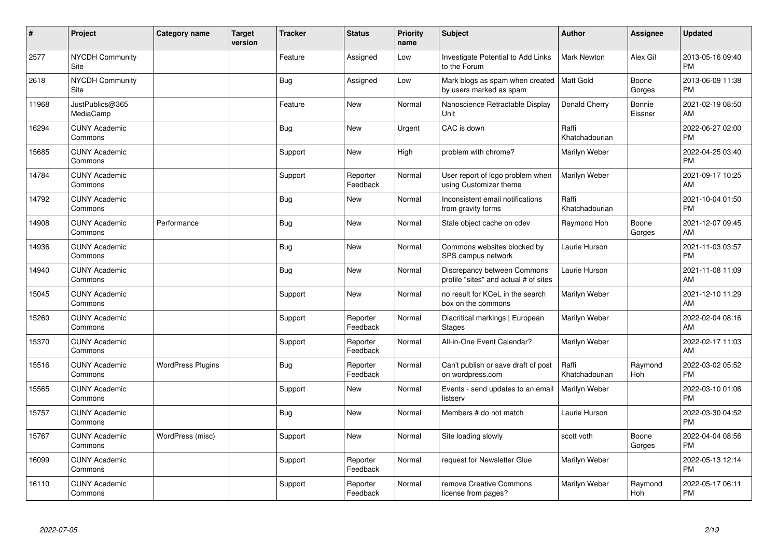| #     | Project                         | <b>Category name</b>     | <b>Target</b><br>version | <b>Tracker</b> | <b>Status</b>        | <b>Priority</b><br>name | <b>Subject</b>                                                       | <b>Author</b>           | Assignee          | <b>Updated</b>                |
|-------|---------------------------------|--------------------------|--------------------------|----------------|----------------------|-------------------------|----------------------------------------------------------------------|-------------------------|-------------------|-------------------------------|
| 2577  | <b>NYCDH Community</b><br>Site  |                          |                          | Feature        | Assigned             | Low                     | <b>Investigate Potential to Add Links</b><br>to the Forum            | <b>Mark Newton</b>      | Alex Gil          | 2013-05-16 09:40<br><b>PM</b> |
| 2618  | NYCDH Community<br>Site         |                          |                          | <b>Bug</b>     | Assigned             | Low                     | Mark blogs as spam when created<br>by users marked as spam           | <b>Matt Gold</b>        | Boone<br>Gorges   | 2013-06-09 11:38<br><b>PM</b> |
| 11968 | JustPublics@365<br>MediaCamp    |                          |                          | Feature        | <b>New</b>           | Normal                  | Nanoscience Retractable Display<br>Unit                              | Donald Cherry           | Bonnie<br>Eissner | 2021-02-19 08:50<br>AM        |
| 16294 | <b>CUNY Academic</b><br>Commons |                          |                          | Bug            | <b>New</b>           | Urgent                  | CAC is down                                                          | Raffi<br>Khatchadourian |                   | 2022-06-27 02:00<br><b>PM</b> |
| 15685 | <b>CUNY Academic</b><br>Commons |                          |                          | Support        | <b>New</b>           | High                    | problem with chrome?                                                 | Marilyn Weber           |                   | 2022-04-25 03:40<br><b>PM</b> |
| 14784 | <b>CUNY Academic</b><br>Commons |                          |                          | Support        | Reporter<br>Feedback | Normal                  | User report of logo problem when<br>using Customizer theme           | Marilyn Weber           |                   | 2021-09-17 10:25<br>AM        |
| 14792 | <b>CUNY Academic</b><br>Commons |                          |                          | <b>Bug</b>     | <b>New</b>           | Normal                  | Inconsistent email notifications<br>from gravity forms               | Raffi<br>Khatchadourian |                   | 2021-10-04 01:50<br><b>PM</b> |
| 14908 | <b>CUNY Academic</b><br>Commons | Performance              |                          | <b>Bug</b>     | <b>New</b>           | Normal                  | Stale object cache on cdev                                           | Raymond Hoh             | Boone<br>Gorges   | 2021-12-07 09:45<br>AM        |
| 14936 | <b>CUNY Academic</b><br>Commons |                          |                          | <b>Bug</b>     | New                  | Normal                  | Commons websites blocked by<br>SPS campus network                    | Laurie Hurson           |                   | 2021-11-03 03:57<br><b>PM</b> |
| 14940 | <b>CUNY Academic</b><br>Commons |                          |                          | Bug            | <b>New</b>           | Normal                  | Discrepancy between Commons<br>profile "sites" and actual # of sites | Laurie Hurson           |                   | 2021-11-08 11:09<br>AM        |
| 15045 | <b>CUNY Academic</b><br>Commons |                          |                          | Support        | <b>New</b>           | Normal                  | no result for KCeL in the search<br>box on the commons               | Marilyn Weber           |                   | 2021-12-10 11:29<br>AM        |
| 15260 | <b>CUNY Academic</b><br>Commons |                          |                          | Support        | Reporter<br>Feedback | Normal                  | Diacritical markings   European<br>Stages                            | Marilyn Weber           |                   | 2022-02-04 08:16<br>AM        |
| 15370 | <b>CUNY Academic</b><br>Commons |                          |                          | Support        | Reporter<br>Feedback | Normal                  | All-in-One Event Calendar?                                           | Marilyn Weber           |                   | 2022-02-17 11:03<br>AM        |
| 15516 | <b>CUNY Academic</b><br>Commons | <b>WordPress Plugins</b> |                          | Bug            | Reporter<br>Feedback | Normal                  | Can't publish or save draft of post<br>on wordpress.com              | Raffi<br>Khatchadourian | Raymond<br>Hoh    | 2022-03-02 05:52<br><b>PM</b> |
| 15565 | <b>CUNY Academic</b><br>Commons |                          |                          | Support        | New                  | Normal                  | Events - send updates to an email<br>listserv                        | Marilyn Weber           |                   | 2022-03-10 01:06<br><b>PM</b> |
| 15757 | <b>CUNY Academic</b><br>Commons |                          |                          | <b>Bug</b>     | New                  | Normal                  | Members # do not match                                               | Laurie Hurson           |                   | 2022-03-30 04:52<br><b>PM</b> |
| 15767 | <b>CUNY Academic</b><br>Commons | WordPress (misc)         |                          | Support        | New                  | Normal                  | Site loading slowly                                                  | scott voth              | Boone<br>Gorges   | 2022-04-04 08:56<br><b>PM</b> |
| 16099 | <b>CUNY Academic</b><br>Commons |                          |                          | Support        | Reporter<br>Feedback | Normal                  | request for Newsletter Glue                                          | Marilyn Weber           |                   | 2022-05-13 12:14<br><b>PM</b> |
| 16110 | <b>CUNY Academic</b><br>Commons |                          |                          | Support        | Reporter<br>Feedback | Normal                  | remove Creative Commons<br>license from pages?                       | Marilyn Weber           | Raymond<br>Hoh    | 2022-05-17 06:11<br>PM        |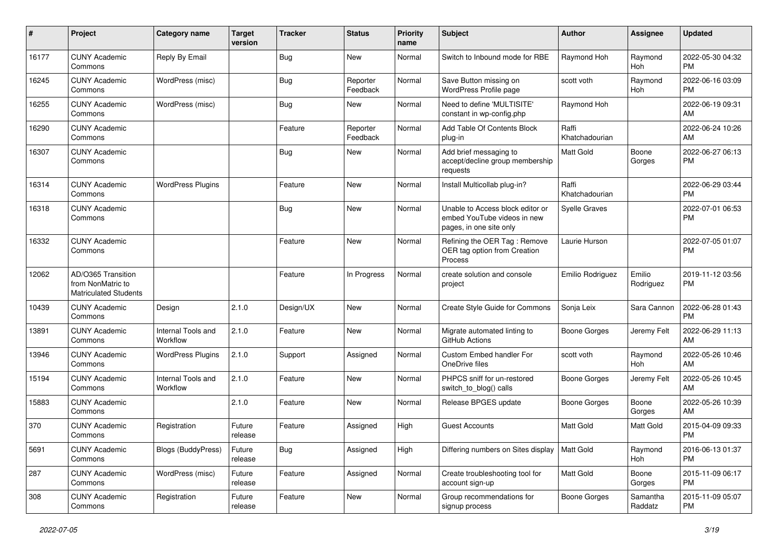| $\#$  | Project                                                                 | Category name                  | <b>Target</b><br>version | <b>Tracker</b> | <b>Status</b>        | <b>Priority</b><br>name | <b>Subject</b>                                                                             | Author                  | Assignee            | <b>Updated</b>                |
|-------|-------------------------------------------------------------------------|--------------------------------|--------------------------|----------------|----------------------|-------------------------|--------------------------------------------------------------------------------------------|-------------------------|---------------------|-------------------------------|
| 16177 | <b>CUNY Academic</b><br>Commons                                         | Reply By Email                 |                          | <b>Bug</b>     | <b>New</b>           | Normal                  | Switch to Inbound mode for RBE                                                             | Raymond Hoh             | Raymond<br>Hoh      | 2022-05-30 04:32<br>PM.       |
| 16245 | <b>CUNY Academic</b><br>Commons                                         | WordPress (misc)               |                          | <b>Bug</b>     | Reporter<br>Feedback | Normal                  | Save Button missing on<br>WordPress Profile page                                           | scott voth              | Raymond<br>Hoh      | 2022-06-16 03:09<br><b>PM</b> |
| 16255 | <b>CUNY Academic</b><br>Commons                                         | WordPress (misc)               |                          | Bug            | <b>New</b>           | Normal                  | Need to define 'MULTISITE'<br>constant in wp-config.php                                    | Raymond Hoh             |                     | 2022-06-19 09:31<br>AM.       |
| 16290 | <b>CUNY Academic</b><br>Commons                                         |                                |                          | Feature        | Reporter<br>Feedback | Normal                  | Add Table Of Contents Block<br>plug-in                                                     | Raffi<br>Khatchadourian |                     | 2022-06-24 10:26<br>AM        |
| 16307 | <b>CUNY Academic</b><br>Commons                                         |                                |                          | <b>Bug</b>     | New                  | Normal                  | Add brief messaging to<br>accept/decline group membership<br>requests                      | <b>Matt Gold</b>        | Boone<br>Gorges     | 2022-06-27 06:13<br><b>PM</b> |
| 16314 | <b>CUNY Academic</b><br>Commons                                         | <b>WordPress Plugins</b>       |                          | Feature        | <b>New</b>           | Normal                  | Install Multicollab plug-in?                                                               | Raffi<br>Khatchadourian |                     | 2022-06-29 03:44<br><b>PM</b> |
| 16318 | <b>CUNY Academic</b><br>Commons                                         |                                |                          | Bug            | <b>New</b>           | Normal                  | Unable to Access block editor or<br>embed YouTube videos in new<br>pages, in one site only | <b>Syelle Graves</b>    |                     | 2022-07-01 06:53<br><b>PM</b> |
| 16332 | <b>CUNY Academic</b><br>Commons                                         |                                |                          | Feature        | <b>New</b>           | Normal                  | Refining the OER Tag: Remove<br>OER tag option from Creation<br>Process                    | Laurie Hurson           |                     | 2022-07-05 01:07<br><b>PM</b> |
| 12062 | AD/O365 Transition<br>from NonMatric to<br><b>Matriculated Students</b> |                                |                          | Feature        | In Progress          | Normal                  | create solution and console<br>project                                                     | Emilio Rodriguez        | Emilio<br>Rodriguez | 2019-11-12 03:56<br><b>PM</b> |
| 10439 | <b>CUNY Academic</b><br>Commons                                         | Design                         | 2.1.0                    | Design/UX      | <b>New</b>           | Normal                  | Create Style Guide for Commons                                                             | Sonja Leix              | Sara Cannon         | 2022-06-28 01:43<br><b>PM</b> |
| 13891 | <b>CUNY Academic</b><br>Commons                                         | Internal Tools and<br>Workflow | 2.1.0                    | Feature        | <b>New</b>           | Normal                  | Migrate automated linting to<br>GitHub Actions                                             | <b>Boone Gorges</b>     | Jeremy Felt         | 2022-06-29 11:13<br>AM        |
| 13946 | <b>CUNY Academic</b><br>Commons                                         | <b>WordPress Plugins</b>       | 2.1.0                    | Support        | Assigned             | Normal                  | Custom Embed handler For<br>OneDrive files                                                 | scott voth              | Raymond<br>Hoh      | 2022-05-26 10:46<br>AM        |
| 15194 | <b>CUNY Academic</b><br>Commons                                         | Internal Tools and<br>Workflow | 2.1.0                    | Feature        | <b>New</b>           | Normal                  | PHPCS sniff for un-restored<br>switch_to_blog() calls                                      | <b>Boone Gorges</b>     | Jeremy Felt         | 2022-05-26 10:45<br>AM        |
| 15883 | <b>CUNY Academic</b><br>Commons                                         |                                | 2.1.0                    | Feature        | New                  | Normal                  | Release BPGES update                                                                       | <b>Boone Gorges</b>     | Boone<br>Gorges     | 2022-05-26 10:39<br>AM        |
| 370   | <b>CUNY Academic</b><br>Commons                                         | Registration                   | Future<br>release        | Feature        | Assigned             | High                    | <b>Guest Accounts</b>                                                                      | <b>Matt Gold</b>        | Matt Gold           | 2015-04-09 09:33<br><b>PM</b> |
| 5691  | <b>CUNY Academic</b><br>Commons                                         | <b>Blogs (BuddyPress)</b>      | Future<br>release        | Bug            | Assigned             | High                    | Differing numbers on Sites display                                                         | Matt Gold               | Raymond<br>Hoh      | 2016-06-13 01:37<br><b>PM</b> |
| 287   | <b>CUNY Academic</b><br>Commons                                         | WordPress (misc)               | Future<br>release        | Feature        | Assigned             | Normal                  | Create troubleshooting tool for<br>account sign-up                                         | Matt Gold               | Boone<br>Gorges     | 2015-11-09 06:17<br><b>PM</b> |
| 308   | <b>CUNY Academic</b><br>Commons                                         | Registration                   | Future<br>release        | Feature        | New                  | Normal                  | Group recommendations for<br>signup process                                                | Boone Gorges            | Samantha<br>Raddatz | 2015-11-09 05:07<br><b>PM</b> |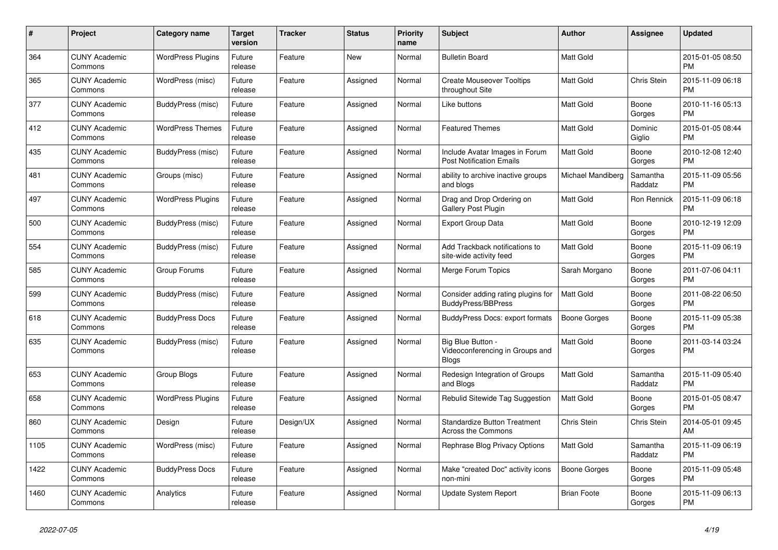| #    | Project                         | <b>Category name</b>     | Target<br>version | <b>Tracker</b> | <b>Status</b> | <b>Priority</b><br>name | <b>Subject</b>                                                       | <b>Author</b>            | Assignee            | <b>Updated</b>                |
|------|---------------------------------|--------------------------|-------------------|----------------|---------------|-------------------------|----------------------------------------------------------------------|--------------------------|---------------------|-------------------------------|
| 364  | <b>CUNY Academic</b><br>Commons | <b>WordPress Plugins</b> | Future<br>release | Feature        | New           | Normal                  | <b>Bulletin Board</b>                                                | Matt Gold                |                     | 2015-01-05 08:50<br><b>PM</b> |
| 365  | <b>CUNY Academic</b><br>Commons | WordPress (misc)         | Future<br>release | Feature        | Assigned      | Normal                  | <b>Create Mouseover Tooltips</b><br>throughout Site                  | <b>Matt Gold</b>         | Chris Stein         | 2015-11-09 06:18<br><b>PM</b> |
| 377  | <b>CUNY Academic</b><br>Commons | BuddyPress (misc)        | Future<br>release | Feature        | Assigned      | Normal                  | Like buttons                                                         | Matt Gold                | Boone<br>Gorges     | 2010-11-16 05:13<br><b>PM</b> |
| 412  | <b>CUNY Academic</b><br>Commons | <b>WordPress Themes</b>  | Future<br>release | Feature        | Assigned      | Normal                  | <b>Featured Themes</b>                                               | Matt Gold                | Dominic<br>Giglio   | 2015-01-05 08:44<br><b>PM</b> |
| 435  | <b>CUNY Academic</b><br>Commons | BuddyPress (misc)        | Future<br>release | Feature        | Assigned      | Normal                  | Include Avatar Images in Forum<br><b>Post Notification Emails</b>    | <b>Matt Gold</b>         | Boone<br>Gorges     | 2010-12-08 12:40<br><b>PM</b> |
| 481  | <b>CUNY Academic</b><br>Commons | Groups (misc)            | Future<br>release | Feature        | Assigned      | Normal                  | ability to archive inactive groups<br>and blogs                      | <b>Michael Mandiberg</b> | Samantha<br>Raddatz | 2015-11-09 05:56<br><b>PM</b> |
| 497  | <b>CUNY Academic</b><br>Commons | <b>WordPress Plugins</b> | Future<br>release | Feature        | Assigned      | Normal                  | Drag and Drop Ordering on<br><b>Gallery Post Plugin</b>              | <b>Matt Gold</b>         | <b>Ron Rennick</b>  | 2015-11-09 06:18<br><b>PM</b> |
| 500  | <b>CUNY Academic</b><br>Commons | BuddyPress (misc)        | Future<br>release | Feature        | Assigned      | Normal                  | <b>Export Group Data</b>                                             | Matt Gold                | Boone<br>Gorges     | 2010-12-19 12:09<br><b>PM</b> |
| 554  | <b>CUNY Academic</b><br>Commons | BuddyPress (misc)        | Future<br>release | Feature        | Assigned      | Normal                  | Add Trackback notifications to<br>site-wide activity feed            | Matt Gold                | Boone<br>Gorges     | 2015-11-09 06:19<br><b>PM</b> |
| 585  | <b>CUNY Academic</b><br>Commons | Group Forums             | Future<br>release | Feature        | Assigned      | Normal                  | Merge Forum Topics                                                   | Sarah Morgano            | Boone<br>Gorges     | 2011-07-06 04:11<br><b>PM</b> |
| 599  | <b>CUNY Academic</b><br>Commons | BuddyPress (misc)        | Future<br>release | Feature        | Assigned      | Normal                  | Consider adding rating plugins for<br><b>BuddyPress/BBPress</b>      | <b>Matt Gold</b>         | Boone<br>Gorges     | 2011-08-22 06:50<br><b>PM</b> |
| 618  | <b>CUNY Academic</b><br>Commons | <b>BuddyPress Docs</b>   | Future<br>release | Feature        | Assigned      | Normal                  | <b>BuddyPress Docs: export formats</b>                               | <b>Boone Gorges</b>      | Boone<br>Gorges     | 2015-11-09 05:38<br><b>PM</b> |
| 635  | <b>CUNY Academic</b><br>Commons | BuddyPress (misc)        | Future<br>release | Feature        | Assigned      | Normal                  | Big Blue Button -<br>Videoconferencing in Groups and<br><b>Blogs</b> | Matt Gold                | Boone<br>Gorges     | 2011-03-14 03:24<br><b>PM</b> |
| 653  | <b>CUNY Academic</b><br>Commons | Group Blogs              | Future<br>release | Feature        | Assigned      | Normal                  | Redesign Integration of Groups<br>and Blogs                          | <b>Matt Gold</b>         | Samantha<br>Raddatz | 2015-11-09 05:40<br><b>PM</b> |
| 658  | <b>CUNY Academic</b><br>Commons | <b>WordPress Plugins</b> | Future<br>release | Feature        | Assigned      | Normal                  | Rebulid Sitewide Tag Suggestion                                      | <b>Matt Gold</b>         | Boone<br>Gorges     | 2015-01-05 08:47<br><b>PM</b> |
| 860  | <b>CUNY Academic</b><br>Commons | Design                   | Future<br>release | Design/UX      | Assigned      | Normal                  | <b>Standardize Button Treatment</b><br>Across the Commons            | Chris Stein              | Chris Stein         | 2014-05-01 09:45<br>AM        |
| 1105 | <b>CUNY Academic</b><br>Commons | WordPress (misc)         | Future<br>release | Feature        | Assigned      | Normal                  | Rephrase Blog Privacy Options                                        | Matt Gold                | Samantha<br>Raddatz | 2015-11-09 06:19<br><b>PM</b> |
| 1422 | <b>CUNY Academic</b><br>Commons | <b>BuddyPress Docs</b>   | Future<br>release | Feature        | Assigned      | Normal                  | Make "created Doc" activity icons<br>non-mini                        | <b>Boone Gorges</b>      | Boone<br>Gorges     | 2015-11-09 05:48<br><b>PM</b> |
| 1460 | <b>CUNY Academic</b><br>Commons | Analytics                | Future<br>release | Feature        | Assigned      | Normal                  | Update System Report                                                 | <b>Brian Foote</b>       | Boone<br>Gorges     | 2015-11-09 06:13<br><b>PM</b> |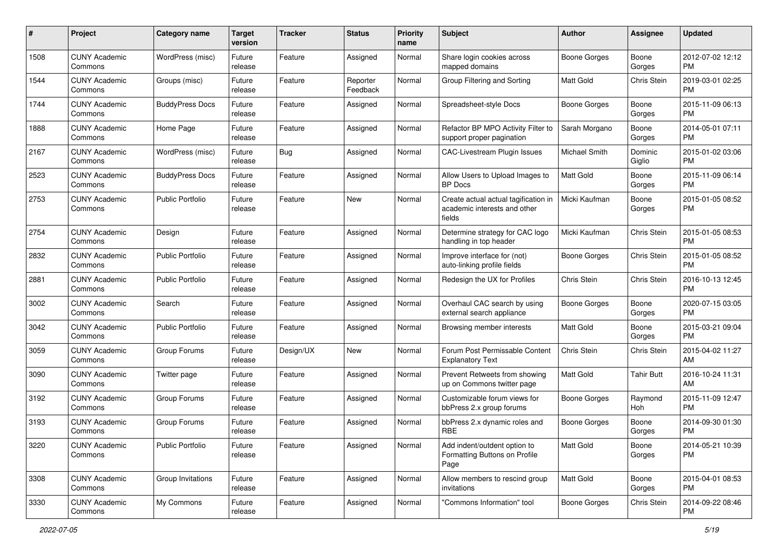| #    | Project                         | <b>Category name</b>    | <b>Target</b><br>version | <b>Tracker</b> | <b>Status</b>        | <b>Priority</b><br>name | <b>Subject</b>                                                                 | Author              | <b>Assignee</b>   | <b>Updated</b>                |
|------|---------------------------------|-------------------------|--------------------------|----------------|----------------------|-------------------------|--------------------------------------------------------------------------------|---------------------|-------------------|-------------------------------|
| 1508 | <b>CUNY Academic</b><br>Commons | WordPress (misc)        | Future<br>release        | Feature        | Assigned             | Normal                  | Share login cookies across<br>mapped domains                                   | <b>Boone Gorges</b> | Boone<br>Gorges   | 2012-07-02 12:12<br>PM.       |
| 1544 | <b>CUNY Academic</b><br>Commons | Groups (misc)           | Future<br>release        | Feature        | Reporter<br>Feedback | Normal                  | Group Filtering and Sorting                                                    | <b>Matt Gold</b>    | Chris Stein       | 2019-03-01 02:25<br><b>PM</b> |
| 1744 | <b>CUNY Academic</b><br>Commons | <b>BuddyPress Docs</b>  | Future<br>release        | Feature        | Assigned             | Normal                  | Spreadsheet-style Docs                                                         | <b>Boone Gorges</b> | Boone<br>Gorges   | 2015-11-09 06:13<br><b>PM</b> |
| 1888 | <b>CUNY Academic</b><br>Commons | Home Page               | Future<br>release        | Feature        | Assigned             | Normal                  | Refactor BP MPO Activity Filter to<br>support proper pagination                | Sarah Morgano       | Boone<br>Gorges   | 2014-05-01 07:11<br><b>PM</b> |
| 2167 | <b>CUNY Academic</b><br>Commons | WordPress (misc)        | Future<br>release        | Bug            | Assigned             | Normal                  | CAC-Livestream Plugin Issues                                                   | Michael Smith       | Dominic<br>Giglio | 2015-01-02 03:06<br><b>PM</b> |
| 2523 | <b>CUNY Academic</b><br>Commons | <b>BuddyPress Docs</b>  | Future<br>release        | Feature        | Assigned             | Normal                  | Allow Users to Upload Images to<br>BP Docs                                     | <b>Matt Gold</b>    | Boone<br>Gorges   | 2015-11-09 06:14<br><b>PM</b> |
| 2753 | <b>CUNY Academic</b><br>Commons | <b>Public Portfolio</b> | Future<br>release        | Feature        | New                  | Normal                  | Create actual actual tagification in<br>academic interests and other<br>fields | Micki Kaufman       | Boone<br>Gorges   | 2015-01-05 08:52<br><b>PM</b> |
| 2754 | <b>CUNY Academic</b><br>Commons | Design                  | Future<br>release        | Feature        | Assigned             | Normal                  | Determine strategy for CAC logo<br>handling in top header                      | Micki Kaufman       | Chris Stein       | 2015-01-05 08:53<br><b>PM</b> |
| 2832 | <b>CUNY Academic</b><br>Commons | <b>Public Portfolio</b> | Future<br>release        | Feature        | Assigned             | Normal                  | Improve interface for (not)<br>auto-linking profile fields                     | Boone Gorges        | Chris Stein       | 2015-01-05 08:52<br><b>PM</b> |
| 2881 | <b>CUNY Academic</b><br>Commons | <b>Public Portfolio</b> | Future<br>release        | Feature        | Assigned             | Normal                  | Redesign the UX for Profiles                                                   | Chris Stein         | Chris Stein       | 2016-10-13 12:45<br><b>PM</b> |
| 3002 | <b>CUNY Academic</b><br>Commons | Search                  | Future<br>release        | Feature        | Assigned             | Normal                  | Overhaul CAC search by using<br>external search appliance                      | <b>Boone Gorges</b> | Boone<br>Gorges   | 2020-07-15 03:05<br>PM.       |
| 3042 | <b>CUNY Academic</b><br>Commons | <b>Public Portfolio</b> | Future<br>release        | Feature        | Assigned             | Normal                  | Browsing member interests                                                      | Matt Gold           | Boone<br>Gorges   | 2015-03-21 09:04<br>PM.       |
| 3059 | <b>CUNY Academic</b><br>Commons | Group Forums            | Future<br>release        | Design/UX      | New                  | Normal                  | Forum Post Permissable Content<br><b>Explanatory Text</b>                      | Chris Stein         | Chris Stein       | 2015-04-02 11:27<br>AM        |
| 3090 | <b>CUNY Academic</b><br>Commons | Twitter page            | Future<br>release        | Feature        | Assigned             | Normal                  | Prevent Retweets from showing<br>up on Commons twitter page                    | <b>Matt Gold</b>    | <b>Tahir Butt</b> | 2016-10-24 11:31<br>AM        |
| 3192 | <b>CUNY Academic</b><br>Commons | Group Forums            | Future<br>release        | Feature        | Assigned             | Normal                  | Customizable forum views for<br>bbPress 2.x group forums                       | Boone Gorges        | Raymond<br>Hoh    | 2015-11-09 12:47<br><b>PM</b> |
| 3193 | <b>CUNY Academic</b><br>Commons | Group Forums            | Future<br>release        | Feature        | Assigned             | Normal                  | bbPress 2.x dynamic roles and<br><b>RBE</b>                                    | <b>Boone Gorges</b> | Boone<br>Gorges   | 2014-09-30 01:30<br>PM        |
| 3220 | <b>CUNY Academic</b><br>Commons | Public Portfolio        | Future<br>release        | Feature        | Assigned             | Normal                  | Add indent/outdent option to<br>Formatting Buttons on Profile<br>Page          | <b>Matt Gold</b>    | Boone<br>Gorges   | 2014-05-21 10:39<br><b>PM</b> |
| 3308 | <b>CUNY Academic</b><br>Commons | Group Invitations       | Future<br>release        | Feature        | Assigned             | Normal                  | Allow members to rescind group<br>invitations                                  | Matt Gold           | Boone<br>Gorges   | 2015-04-01 08:53<br><b>PM</b> |
| 3330 | <b>CUNY Academic</b><br>Commons | My Commons              | Future<br>release        | Feature        | Assigned             | Normal                  | "Commons Information" tool                                                     | Boone Gorges        | Chris Stein       | 2014-09-22 08:46<br><b>PM</b> |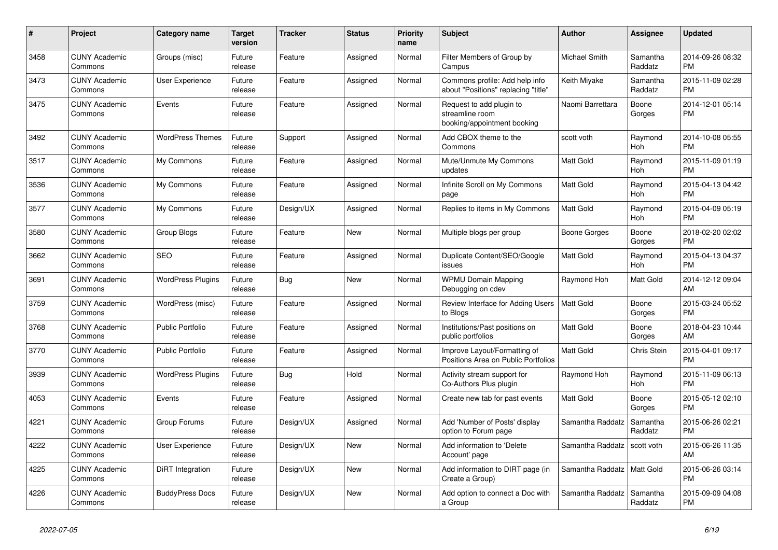| #    | Project                         | <b>Category name</b>     | <b>Target</b><br>version | <b>Tracker</b> | <b>Status</b> | <b>Priority</b><br>name | <b>Subject</b>                                                             | <b>Author</b>        | <b>Assignee</b>     | <b>Updated</b>                |
|------|---------------------------------|--------------------------|--------------------------|----------------|---------------|-------------------------|----------------------------------------------------------------------------|----------------------|---------------------|-------------------------------|
| 3458 | <b>CUNY Academic</b><br>Commons | Groups (misc)            | Future<br>release        | Feature        | Assigned      | Normal                  | Filter Members of Group by<br>Campus                                       | <b>Michael Smith</b> | Samantha<br>Raddatz | 2014-09-26 08:32<br><b>PM</b> |
| 3473 | <b>CUNY Academic</b><br>Commons | User Experience          | Future<br>release        | Feature        | Assigned      | Normal                  | Commons profile: Add help info<br>about "Positions" replacing "title"      | Keith Miyake         | Samantha<br>Raddatz | 2015-11-09 02:28<br><b>PM</b> |
| 3475 | <b>CUNY Academic</b><br>Commons | Events                   | Future<br>release        | Feature        | Assigned      | Normal                  | Request to add plugin to<br>streamline room<br>booking/appointment booking | Naomi Barrettara     | Boone<br>Gorges     | 2014-12-01 05:14<br><b>PM</b> |
| 3492 | <b>CUNY Academic</b><br>Commons | <b>WordPress Themes</b>  | Future<br>release        | Support        | Assigned      | Normal                  | Add CBOX theme to the<br>Commons                                           | scott voth           | Raymond<br>Hoh      | 2014-10-08 05:55<br><b>PM</b> |
| 3517 | <b>CUNY Academic</b><br>Commons | My Commons               | Future<br>release        | Feature        | Assigned      | Normal                  | Mute/Unmute My Commons<br>updates                                          | <b>Matt Gold</b>     | Raymond<br>Hoh      | 2015-11-09 01:19<br><b>PM</b> |
| 3536 | <b>CUNY Academic</b><br>Commons | My Commons               | Future<br>release        | Feature        | Assigned      | Normal                  | Infinite Scroll on My Commons<br>page                                      | <b>Matt Gold</b>     | Raymond<br>Hoh      | 2015-04-13 04:42<br><b>PM</b> |
| 3577 | <b>CUNY Academic</b><br>Commons | My Commons               | Future<br>release        | Design/UX      | Assigned      | Normal                  | Replies to items in My Commons                                             | <b>Matt Gold</b>     | Raymond<br>Hoh      | 2015-04-09 05:19<br><b>PM</b> |
| 3580 | <b>CUNY Academic</b><br>Commons | Group Blogs              | Future<br>release        | Feature        | New           | Normal                  | Multiple blogs per group                                                   | Boone Gorges         | Boone<br>Gorges     | 2018-02-20 02:02<br><b>PM</b> |
| 3662 | <b>CUNY Academic</b><br>Commons | <b>SEO</b>               | Future<br>release        | Feature        | Assigned      | Normal                  | Duplicate Content/SEO/Google<br>issues                                     | <b>Matt Gold</b>     | Raymond<br>Hoh      | 2015-04-13 04:37<br><b>PM</b> |
| 3691 | <b>CUNY Academic</b><br>Commons | <b>WordPress Plugins</b> | Future<br>release        | <b>Bug</b>     | <b>New</b>    | Normal                  | <b>WPMU Domain Mapping</b><br>Debugging on cdev                            | Raymond Hoh          | Matt Gold           | 2014-12-12 09:04<br>AM        |
| 3759 | <b>CUNY Academic</b><br>Commons | WordPress (misc)         | Future<br>release        | Feature        | Assigned      | Normal                  | Review Interface for Adding Users<br>to Blogs                              | Matt Gold            | Boone<br>Gorges     | 2015-03-24 05:52<br><b>PM</b> |
| 3768 | <b>CUNY Academic</b><br>Commons | <b>Public Portfolio</b>  | Future<br>release        | Feature        | Assigned      | Normal                  | Institutions/Past positions on<br>public portfolios                        | <b>Matt Gold</b>     | Boone<br>Gorges     | 2018-04-23 10:44<br>AM        |
| 3770 | <b>CUNY Academic</b><br>Commons | Public Portfolio         | Future<br>release        | Feature        | Assigned      | Normal                  | Improve Layout/Formatting of<br>Positions Area on Public Portfolios        | <b>Matt Gold</b>     | Chris Stein         | 2015-04-01 09:17<br><b>PM</b> |
| 3939 | <b>CUNY Academic</b><br>Commons | <b>WordPress Plugins</b> | Future<br>release        | Bug            | Hold          | Normal                  | Activity stream support for<br>Co-Authors Plus plugin                      | Raymond Hoh          | Raymond<br>Hoh      | 2015-11-09 06:13<br><b>PM</b> |
| 4053 | <b>CUNY Academic</b><br>Commons | Events                   | Future<br>release        | Feature        | Assigned      | Normal                  | Create new tab for past events                                             | <b>Matt Gold</b>     | Boone<br>Gorges     | 2015-05-12 02:10<br><b>PM</b> |
| 4221 | <b>CUNY Academic</b><br>Commons | Group Forums             | Future<br>release        | Design/UX      | Assigned      | Normal                  | Add 'Number of Posts' display<br>option to Forum page                      | Samantha Raddatz     | Samantha<br>Raddatz | 2015-06-26 02:21<br><b>PM</b> |
| 4222 | <b>CUNY Academic</b><br>Commons | User Experience          | Future<br>release        | Design/UX      | New           | Normal                  | Add information to 'Delete<br>Account' page                                | Samantha Raddatz     | scott voth          | 2015-06-26 11:35<br>AM        |
| 4225 | <b>CUNY Academic</b><br>Commons | DiRT Integration         | Future<br>release        | Design/UX      | New           | Normal                  | Add information to DIRT page (in<br>Create a Group)                        | Samantha Raddatz     | Matt Gold           | 2015-06-26 03:14<br><b>PM</b> |
| 4226 | <b>CUNY Academic</b><br>Commons | <b>BuddyPress Docs</b>   | Future<br>release        | Design/UX      | <b>New</b>    | Normal                  | Add option to connect a Doc with<br>a Group                                | Samantha Raddatz     | Samantha<br>Raddatz | 2015-09-09 04:08<br><b>PM</b> |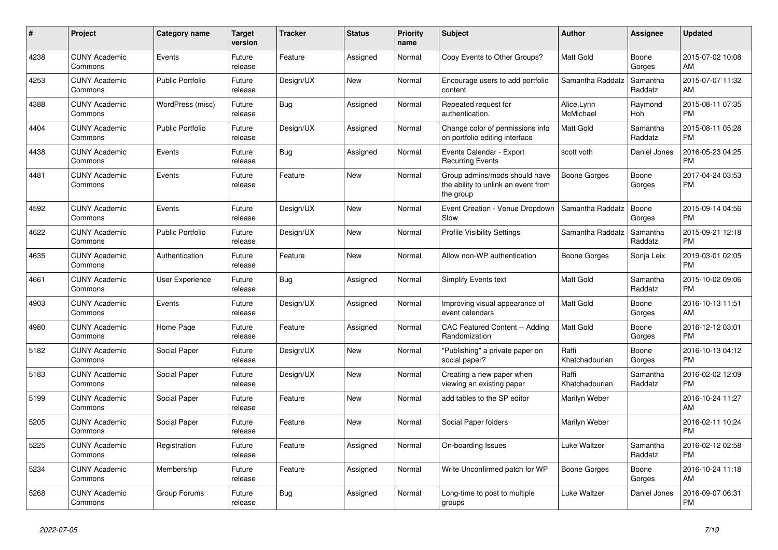| #    | <b>Project</b>                  | <b>Category name</b>    | <b>Target</b><br>version | <b>Tracker</b> | <b>Status</b> | <b>Priority</b><br>name | <b>Subject</b>                                                                    | <b>Author</b>           | Assignee            | <b>Updated</b>                |
|------|---------------------------------|-------------------------|--------------------------|----------------|---------------|-------------------------|-----------------------------------------------------------------------------------|-------------------------|---------------------|-------------------------------|
| 4238 | <b>CUNY Academic</b><br>Commons | Events                  | Future<br>release        | Feature        | Assigned      | Normal                  | Copy Events to Other Groups?                                                      | <b>Matt Gold</b>        | Boone<br>Gorges     | 2015-07-02 10:08<br>AM        |
| 4253 | <b>CUNY Academic</b><br>Commons | <b>Public Portfolio</b> | Future<br>release        | Design/UX      | New           | Normal                  | Encourage users to add portfolio<br>content                                       | Samantha Raddatz        | Samantha<br>Raddatz | 2015-07-07 11:32<br>AM        |
| 4388 | <b>CUNY Academic</b><br>Commons | WordPress (misc)        | Future<br>release        | Bug            | Assigned      | Normal                  | Repeated request for<br>authentication.                                           | Alice.Lynn<br>McMichael | Raymond<br>Hoh      | 2015-08-11 07:35<br><b>PM</b> |
| 4404 | <b>CUNY Academic</b><br>Commons | <b>Public Portfolio</b> | Future<br>release        | Design/UX      | Assigned      | Normal                  | Change color of permissions info<br>on portfolio editing interface                | <b>Matt Gold</b>        | Samantha<br>Raddatz | 2015-08-11 05:28<br><b>PM</b> |
| 4438 | <b>CUNY Academic</b><br>Commons | Events                  | Future<br>release        | <b>Bug</b>     | Assigned      | Normal                  | Events Calendar - Export<br><b>Recurring Events</b>                               | scott voth              | Daniel Jones        | 2016-05-23 04:25<br><b>PM</b> |
| 4481 | <b>CUNY Academic</b><br>Commons | Events                  | Future<br>release        | Feature        | New           | Normal                  | Group admins/mods should have<br>the ability to unlink an event from<br>the group | Boone Gorges            | Boone<br>Gorges     | 2017-04-24 03:53<br><b>PM</b> |
| 4592 | <b>CUNY Academic</b><br>Commons | Events                  | Future<br>release        | Design/UX      | <b>New</b>    | Normal                  | Event Creation - Venue Dropdown<br>Slow                                           | Samantha Raddatz        | Boone<br>Gorges     | 2015-09-14 04:56<br><b>PM</b> |
| 4622 | <b>CUNY Academic</b><br>Commons | <b>Public Portfolio</b> | Future<br>release        | Design/UX      | New           | Normal                  | <b>Profile Visibility Settings</b>                                                | Samantha Raddatz        | Samantha<br>Raddatz | 2015-09-21 12:18<br><b>PM</b> |
| 4635 | <b>CUNY Academic</b><br>Commons | Authentication          | Future<br>release        | Feature        | New           | Normal                  | Allow non-WP authentication                                                       | Boone Gorges            | Sonja Leix          | 2019-03-01 02:05<br><b>PM</b> |
| 4661 | <b>CUNY Academic</b><br>Commons | User Experience         | Future<br>release        | <b>Bug</b>     | Assigned      | Normal                  | Simplify Events text                                                              | <b>Matt Gold</b>        | Samantha<br>Raddatz | 2015-10-02 09:06<br><b>PM</b> |
| 4903 | <b>CUNY Academic</b><br>Commons | Events                  | Future<br>release        | Design/UX      | Assigned      | Normal                  | Improving visual appearance of<br>event calendars                                 | <b>Matt Gold</b>        | Boone<br>Gorges     | 2016-10-13 11:51<br>AM        |
| 4980 | <b>CUNY Academic</b><br>Commons | Home Page               | Future<br>release        | Feature        | Assigned      | Normal                  | CAC Featured Content -- Adding<br>Randomization                                   | <b>Matt Gold</b>        | Boone<br>Gorges     | 2016-12-12 03:01<br><b>PM</b> |
| 5182 | <b>CUNY Academic</b><br>Commons | Social Paper            | Future<br>release        | Design/UX      | <b>New</b>    | Normal                  | "Publishing" a private paper on<br>social paper?                                  | Raffi<br>Khatchadourian | Boone<br>Gorges     | 2016-10-13 04:12<br><b>PM</b> |
| 5183 | <b>CUNY Academic</b><br>Commons | Social Paper            | Future<br>release        | Design/UX      | New           | Normal                  | Creating a new paper when<br>viewing an existing paper                            | Raffi<br>Khatchadourian | Samantha<br>Raddatz | 2016-02-02 12:09<br><b>PM</b> |
| 5199 | <b>CUNY Academic</b><br>Commons | Social Paper            | Future<br>release        | Feature        | New           | Normal                  | add tables to the SP editor                                                       | Marilyn Weber           |                     | 2016-10-24 11:27<br>AM        |
| 5205 | <b>CUNY Academic</b><br>Commons | Social Paper            | Future<br>release        | Feature        | <b>New</b>    | Normal                  | Social Paper folders                                                              | Marilyn Weber           |                     | 2016-02-11 10:24<br><b>PM</b> |
| 5225 | <b>CUNY Academic</b><br>Commons | Registration            | Future<br>release        | Feature        | Assigned      | Normal                  | On-boarding Issues                                                                | Luke Waltzer            | Samantha<br>Raddatz | 2016-02-12 02:58<br><b>PM</b> |
| 5234 | <b>CUNY Academic</b><br>Commons | Membership              | Future<br>release        | Feature        | Assigned      | Normal                  | Write Unconfirmed patch for WP                                                    | Boone Gorges            | Boone<br>Gorges     | 2016-10-24 11:18<br>AM        |
| 5268 | <b>CUNY Academic</b><br>Commons | Group Forums            | Future<br>release        | <b>Bug</b>     | Assigned      | Normal                  | Long-time to post to multiple<br>groups                                           | Luke Waltzer            | Daniel Jones        | 2016-09-07 06:31<br><b>PM</b> |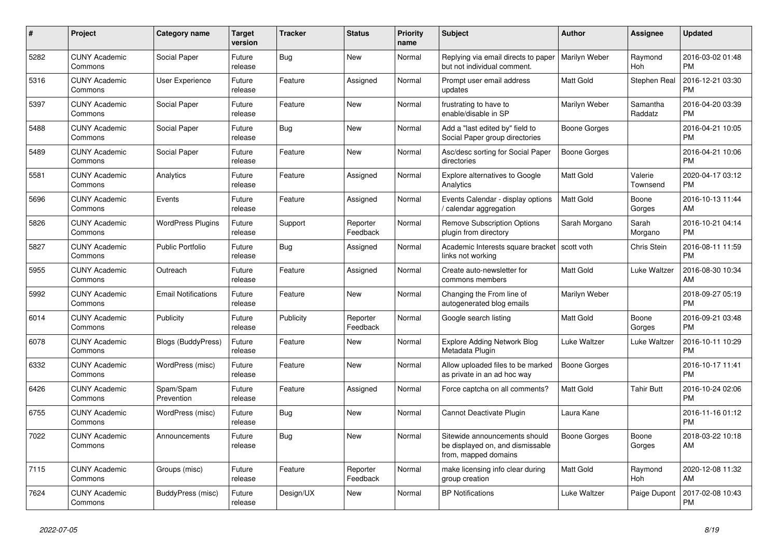| #    | <b>Project</b>                  | <b>Category name</b>       | <b>Target</b><br>version | <b>Tracker</b> | <b>Status</b>        | <b>Priority</b><br>name | <b>Subject</b>                                                                            | <b>Author</b>       | Assignee            | <b>Updated</b>                |
|------|---------------------------------|----------------------------|--------------------------|----------------|----------------------|-------------------------|-------------------------------------------------------------------------------------------|---------------------|---------------------|-------------------------------|
| 5282 | <b>CUNY Academic</b><br>Commons | Social Paper               | Future<br>release        | Bug            | <b>New</b>           | Normal                  | Replying via email directs to paper<br>but not individual comment.                        | Marilyn Weber       | Raymond<br>Hoh      | 2016-03-02 01:48<br><b>PM</b> |
| 5316 | <b>CUNY Academic</b><br>Commons | User Experience            | Future<br>release        | Feature        | Assigned             | Normal                  | Prompt user email address<br>updates                                                      | <b>Matt Gold</b>    | Stephen Real        | 2016-12-21 03:30<br><b>PM</b> |
| 5397 | <b>CUNY Academic</b><br>Commons | Social Paper               | Future<br>release        | Feature        | New                  | Normal                  | frustrating to have to<br>enable/disable in SP                                            | Marilyn Weber       | Samantha<br>Raddatz | 2016-04-20 03:39<br><b>PM</b> |
| 5488 | <b>CUNY Academic</b><br>Commons | Social Paper               | Future<br>release        | Bug            | <b>New</b>           | Normal                  | Add a "last edited by" field to<br>Social Paper group directories                         | Boone Gorges        |                     | 2016-04-21 10:05<br><b>PM</b> |
| 5489 | <b>CUNY Academic</b><br>Commons | Social Paper               | Future<br>release        | Feature        | New                  | Normal                  | Asc/desc sorting for Social Paper<br>directories                                          | Boone Gorges        |                     | 2016-04-21 10:06<br><b>PM</b> |
| 5581 | <b>CUNY Academic</b><br>Commons | Analytics                  | Future<br>release        | Feature        | Assigned             | Normal                  | <b>Explore alternatives to Google</b><br>Analytics                                        | <b>Matt Gold</b>    | Valerie<br>Townsend | 2020-04-17 03:12<br><b>PM</b> |
| 5696 | <b>CUNY Academic</b><br>Commons | Events                     | Future<br>release        | Feature        | Assigned             | Normal                  | Events Calendar - display options<br>calendar aggregation                                 | <b>Matt Gold</b>    | Boone<br>Gorges     | 2016-10-13 11:44<br>AM        |
| 5826 | <b>CUNY Academic</b><br>Commons | <b>WordPress Plugins</b>   | Future<br>release        | Support        | Reporter<br>Feedback | Normal                  | <b>Remove Subscription Options</b><br>plugin from directory                               | Sarah Morgano       | Sarah<br>Morgano    | 2016-10-21 04:14<br><b>PM</b> |
| 5827 | <b>CUNY Academic</b><br>Commons | Public Portfolio           | Future<br>release        | <b>Bug</b>     | Assigned             | Normal                  | Academic Interests square bracket<br>links not working                                    | scott voth          | Chris Stein         | 2016-08-11 11:59<br><b>PM</b> |
| 5955 | <b>CUNY Academic</b><br>Commons | Outreach                   | Future<br>release        | Feature        | Assigned             | Normal                  | Create auto-newsletter for<br>commons members                                             | <b>Matt Gold</b>    | Luke Waltzer        | 2016-08-30 10:34<br>AM        |
| 5992 | <b>CUNY Academic</b><br>Commons | <b>Email Notifications</b> | Future<br>release        | Feature        | <b>New</b>           | Normal                  | Changing the From line of<br>autogenerated blog emails                                    | Marilyn Weber       |                     | 2018-09-27 05:19<br><b>PM</b> |
| 6014 | <b>CUNY Academic</b><br>Commons | Publicity                  | Future<br>release        | Publicity      | Reporter<br>Feedback | Normal                  | Google search listing                                                                     | <b>Matt Gold</b>    | Boone<br>Gorges     | 2016-09-21 03:48<br><b>PM</b> |
| 6078 | <b>CUNY Academic</b><br>Commons | <b>Blogs (BuddyPress)</b>  | Future<br>release        | Feature        | New                  | Normal                  | <b>Explore Adding Network Blog</b><br>Metadata Plugin                                     | Luke Waltzer        | Luke Waltzer        | 2016-10-11 10:29<br><b>PM</b> |
| 6332 | <b>CUNY Academic</b><br>Commons | WordPress (misc)           | Future<br>release        | Feature        | <b>New</b>           | Normal                  | Allow uploaded files to be marked<br>as private in an ad hoc way                          | <b>Boone Gorges</b> |                     | 2016-10-17 11:41<br><b>PM</b> |
| 6426 | <b>CUNY Academic</b><br>Commons | Spam/Spam<br>Prevention    | Future<br>release        | Feature        | Assigned             | Normal                  | Force captcha on all comments?                                                            | <b>Matt Gold</b>    | <b>Tahir Butt</b>   | 2016-10-24 02:06<br><b>PM</b> |
| 6755 | <b>CUNY Academic</b><br>Commons | WordPress (misc)           | Future<br>release        | <b>Bug</b>     | <b>New</b>           | Normal                  | Cannot Deactivate Plugin                                                                  | Laura Kane          |                     | 2016-11-16 01:12<br><b>PM</b> |
| 7022 | <b>CUNY Academic</b><br>Commons | Announcements              | Future<br>release        | Bug            | <b>New</b>           | Normal                  | Sitewide announcements should<br>be displayed on, and dismissable<br>from, mapped domains | Boone Gorges        | Boone<br>Gorges     | 2018-03-22 10:18<br>AM        |
| 7115 | <b>CUNY Academic</b><br>Commons | Groups (misc)              | Future<br>release        | Feature        | Reporter<br>Feedback | Normal                  | make licensing info clear during<br>group creation                                        | <b>Matt Gold</b>    | Raymond<br>Hoh      | 2020-12-08 11:32<br>AM        |
| 7624 | <b>CUNY Academic</b><br>Commons | BuddyPress (misc)          | Future<br>release        | Design/UX      | <b>New</b>           | Normal                  | <b>BP Notifications</b>                                                                   | Luke Waltzer        | Paige Dupont        | 2017-02-08 10:43<br><b>PM</b> |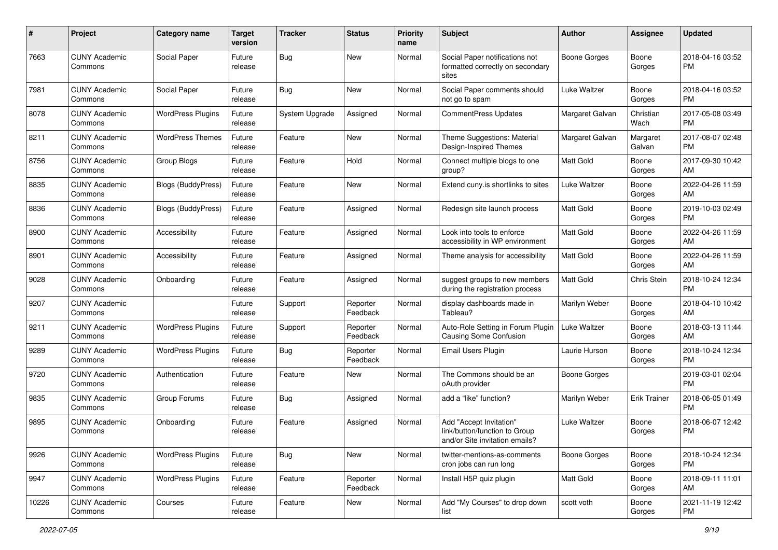| #     | Project                         | <b>Category name</b>      | <b>Target</b><br>version | <b>Tracker</b> | <b>Status</b>        | <b>Priority</b><br>name | <b>Subject</b>                                                                             | Author              | <b>Assignee</b>     | <b>Updated</b>                |
|-------|---------------------------------|---------------------------|--------------------------|----------------|----------------------|-------------------------|--------------------------------------------------------------------------------------------|---------------------|---------------------|-------------------------------|
| 7663  | <b>CUNY Academic</b><br>Commons | Social Paper              | Future<br>release        | Bug            | New                  | Normal                  | Social Paper notifications not<br>formatted correctly on secondary<br>sites                | Boone Gorges        | Boone<br>Gorges     | 2018-04-16 03:52<br>PM.       |
| 7981  | <b>CUNY Academic</b><br>Commons | Social Paper              | Future<br>release        | Bug            | New                  | Normal                  | Social Paper comments should<br>not go to spam                                             | Luke Waltzer        | Boone<br>Gorges     | 2018-04-16 03:52<br>PM.       |
| 8078  | <b>CUNY Academic</b><br>Commons | <b>WordPress Plugins</b>  | Future<br>release        | System Upgrade | Assigned             | Normal                  | <b>CommentPress Updates</b>                                                                | Margaret Galvan     | Christian<br>Wach   | 2017-05-08 03:49<br><b>PM</b> |
| 8211  | <b>CUNY Academic</b><br>Commons | <b>WordPress Themes</b>   | Future<br>release        | Feature        | New                  | Normal                  | Theme Suggestions: Material<br>Design-Inspired Themes                                      | Margaret Galvan     | Margaret<br>Galvan  | 2017-08-07 02:48<br><b>PM</b> |
| 8756  | <b>CUNY Academic</b><br>Commons | Group Blogs               | Future<br>release        | Feature        | Hold                 | Normal                  | Connect multiple blogs to one<br>group?                                                    | <b>Matt Gold</b>    | Boone<br>Gorges     | 2017-09-30 10:42<br>AM        |
| 8835  | <b>CUNY Academic</b><br>Commons | Blogs (BuddyPress)        | Future<br>release        | Feature        | New                  | Normal                  | Extend cuny.is shortlinks to sites                                                         | Luke Waltzer        | Boone<br>Gorges     | 2022-04-26 11:59<br>AM        |
| 8836  | <b>CUNY Academic</b><br>Commons | <b>Blogs (BuddyPress)</b> | Future<br>release        | Feature        | Assigned             | Normal                  | Redesign site launch process                                                               | <b>Matt Gold</b>    | Boone<br>Gorges     | 2019-10-03 02:49<br><b>PM</b> |
| 8900  | <b>CUNY Academic</b><br>Commons | Accessibility             | Future<br>release        | Feature        | Assigned             | Normal                  | Look into tools to enforce<br>accessibility in WP environment                              | <b>Matt Gold</b>    | Boone<br>Gorges     | 2022-04-26 11:59<br>AM        |
| 8901  | <b>CUNY Academic</b><br>Commons | Accessibility             | Future<br>release        | Feature        | Assigned             | Normal                  | Theme analysis for accessibility                                                           | <b>Matt Gold</b>    | Boone<br>Gorges     | 2022-04-26 11:59<br>AM        |
| 9028  | <b>CUNY Academic</b><br>Commons | Onboarding                | Future<br>release        | Feature        | Assigned             | Normal                  | suggest groups to new members<br>during the registration process                           | <b>Matt Gold</b>    | <b>Chris Stein</b>  | 2018-10-24 12:34<br><b>PM</b> |
| 9207  | <b>CUNY Academic</b><br>Commons |                           | Future<br>release        | Support        | Reporter<br>Feedback | Normal                  | display dashboards made in<br>Tableau?                                                     | Marilyn Weber       | Boone<br>Gorges     | 2018-04-10 10:42<br>AM        |
| 9211  | <b>CUNY Academic</b><br>Commons | <b>WordPress Plugins</b>  | Future<br>release        | Support        | Reporter<br>Feedback | Normal                  | Auto-Role Setting in Forum Plugin<br><b>Causing Some Confusion</b>                         | Luke Waltzer        | Boone<br>Gorges     | 2018-03-13 11:44<br>AM        |
| 9289  | <b>CUNY Academic</b><br>Commons | <b>WordPress Plugins</b>  | Future<br>release        | Bug            | Reporter<br>Feedback | Normal                  | <b>Email Users Plugin</b>                                                                  | Laurie Hurson       | Boone<br>Gorges     | 2018-10-24 12:34<br><b>PM</b> |
| 9720  | <b>CUNY Academic</b><br>Commons | Authentication            | Future<br>release        | Feature        | New                  | Normal                  | The Commons should be an<br>oAuth provider                                                 | <b>Boone Gorges</b> |                     | 2019-03-01 02:04<br><b>PM</b> |
| 9835  | <b>CUNY Academic</b><br>Commons | Group Forums              | Future<br>release        | <b>Bug</b>     | Assigned             | Normal                  | add a "like" function?                                                                     | Marilyn Weber       | <b>Erik Trainer</b> | 2018-06-05 01:49<br><b>PM</b> |
| 9895  | <b>CUNY Academic</b><br>Commons | Onboarding                | Future<br>release        | Feature        | Assigned             | Normal                  | Add "Accept Invitation"<br>link/button/function to Group<br>and/or Site invitation emails? | <b>Luke Waltzer</b> | Boone<br>Gorges     | 2018-06-07 12:42<br><b>PM</b> |
| 9926  | <b>CUNY Academic</b><br>Commons | <b>WordPress Plugins</b>  | Future<br>release        | <b>Bug</b>     | New                  | Normal                  | twitter-mentions-as-comments<br>cron jobs can run long                                     | Boone Gorges        | Boone<br>Gorges     | 2018-10-24 12:34<br>PM        |
| 9947  | <b>CUNY Academic</b><br>Commons | <b>WordPress Plugins</b>  | Future<br>release        | Feature        | Reporter<br>Feedback | Normal                  | Install H5P quiz plugin                                                                    | Matt Gold           | Boone<br>Gorges     | 2018-09-11 11:01<br>AM        |
| 10226 | <b>CUNY Academic</b><br>Commons | Courses                   | Future<br>release        | Feature        | New                  | Normal                  | Add "My Courses" to drop down<br>list                                                      | scott voth          | Boone<br>Gorges     | 2021-11-19 12:42<br>PM        |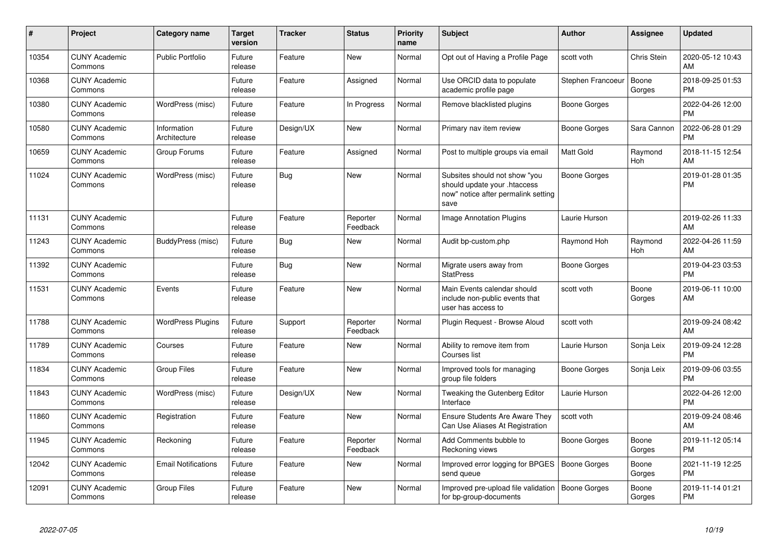| #     | Project                         | Category name               | <b>Target</b><br>version | <b>Tracker</b> | <b>Status</b>        | <b>Priority</b><br>name | <b>Subject</b>                                                                                               | <b>Author</b>       | <b>Assignee</b> | <b>Updated</b>                |
|-------|---------------------------------|-----------------------------|--------------------------|----------------|----------------------|-------------------------|--------------------------------------------------------------------------------------------------------------|---------------------|-----------------|-------------------------------|
| 10354 | <b>CUNY Academic</b><br>Commons | <b>Public Portfolio</b>     | Future<br>release        | Feature        | <b>New</b>           | Normal                  | Opt out of Having a Profile Page                                                                             | scott voth          | Chris Stein     | 2020-05-12 10:43<br>AM        |
| 10368 | <b>CUNY Academic</b><br>Commons |                             | Future<br>release        | Feature        | Assigned             | Normal                  | Use ORCID data to populate<br>academic profile page                                                          | Stephen Francoeur   | Boone<br>Gorges | 2018-09-25 01:53<br><b>PM</b> |
| 10380 | <b>CUNY Academic</b><br>Commons | WordPress (misc)            | Future<br>release        | Feature        | In Progress          | Normal                  | Remove blacklisted plugins                                                                                   | Boone Gorges        |                 | 2022-04-26 12:00<br><b>PM</b> |
| 10580 | <b>CUNY Academic</b><br>Commons | Information<br>Architecture | Future<br>release        | Design/UX      | New                  | Normal                  | Primary nav item review                                                                                      | Boone Gorges        | Sara Cannon     | 2022-06-28 01:29<br><b>PM</b> |
| 10659 | <b>CUNY Academic</b><br>Commons | Group Forums                | Future<br>release        | Feature        | Assigned             | Normal                  | Post to multiple groups via email                                                                            | <b>Matt Gold</b>    | Raymond<br>Hoh  | 2018-11-15 12:54<br>AM        |
| 11024 | <b>CUNY Academic</b><br>Commons | WordPress (misc)            | Future<br>release        | Bug            | <b>New</b>           | Normal                  | Subsites should not show "you<br>should update your .htaccess<br>now" notice after permalink setting<br>save | <b>Boone Gorges</b> |                 | 2019-01-28 01:35<br><b>PM</b> |
| 11131 | <b>CUNY Academic</b><br>Commons |                             | Future<br>release        | Feature        | Reporter<br>Feedback | Normal                  | Image Annotation Plugins                                                                                     | Laurie Hurson       |                 | 2019-02-26 11:33<br>AM        |
| 11243 | <b>CUNY Academic</b><br>Commons | BuddyPress (misc)           | Future<br>release        | <b>Bug</b>     | New                  | Normal                  | Audit bp-custom.php                                                                                          | Raymond Hoh         | Raymond<br>Hoh  | 2022-04-26 11:59<br>AM        |
| 11392 | <b>CUNY Academic</b><br>Commons |                             | Future<br>release        | Bug            | <b>New</b>           | Normal                  | Migrate users away from<br><b>StatPress</b>                                                                  | Boone Gorges        |                 | 2019-04-23 03:53<br><b>PM</b> |
| 11531 | <b>CUNY Academic</b><br>Commons | Events                      | Future<br>release        | Feature        | <b>New</b>           | Normal                  | Main Events calendar should<br>include non-public events that<br>user has access to                          | scott voth          | Boone<br>Gorges | 2019-06-11 10:00<br>AM        |
| 11788 | <b>CUNY Academic</b><br>Commons | <b>WordPress Plugins</b>    | Future<br>release        | Support        | Reporter<br>Feedback | Normal                  | Plugin Request - Browse Aloud                                                                                | scott voth          |                 | 2019-09-24 08:42<br>AM        |
| 11789 | <b>CUNY Academic</b><br>Commons | Courses                     | Future<br>release        | Feature        | <b>New</b>           | Normal                  | Ability to remove item from<br>Courses list                                                                  | Laurie Hurson       | Sonja Leix      | 2019-09-24 12:28<br><b>PM</b> |
| 11834 | <b>CUNY Academic</b><br>Commons | <b>Group Files</b>          | Future<br>release        | Feature        | <b>New</b>           | Normal                  | Improved tools for managing<br>group file folders                                                            | Boone Gorges        | Sonja Leix      | 2019-09-06 03:55<br><b>PM</b> |
| 11843 | <b>CUNY Academic</b><br>Commons | WordPress (misc)            | Future<br>release        | Design/UX      | New                  | Normal                  | Tweaking the Gutenberg Editor<br>Interface                                                                   | Laurie Hurson       |                 | 2022-04-26 12:00<br><b>PM</b> |
| 11860 | <b>CUNY Academic</b><br>Commons | Registration                | Future<br>release        | Feature        | <b>New</b>           | Normal                  | <b>Ensure Students Are Aware They</b><br>Can Use Aliases At Registration                                     | scott voth          |                 | 2019-09-24 08:46<br>AM        |
| 11945 | <b>CUNY Academic</b><br>Commons | Reckoning                   | Future<br>release        | Feature        | Reporter<br>Feedback | Normal                  | Add Comments bubble to<br>Reckoning views                                                                    | Boone Gorges        | Boone<br>Gorges | 2019-11-12 05:14<br><b>PM</b> |
| 12042 | <b>CUNY Academic</b><br>Commons | <b>Email Notifications</b>  | Future<br>release        | Feature        | <b>New</b>           | Normal                  | Improved error logging for BPGES<br>send queue                                                               | <b>Boone Gorges</b> | Boone<br>Gorges | 2021-11-19 12:25<br><b>PM</b> |
| 12091 | <b>CUNY Academic</b><br>Commons | <b>Group Files</b>          | Future<br>release        | Feature        | <b>New</b>           | Normal                  | Improved pre-upload file validation<br>for bp-group-documents                                                | <b>Boone Gorges</b> | Boone<br>Gorges | 2019-11-14 01:21<br><b>PM</b> |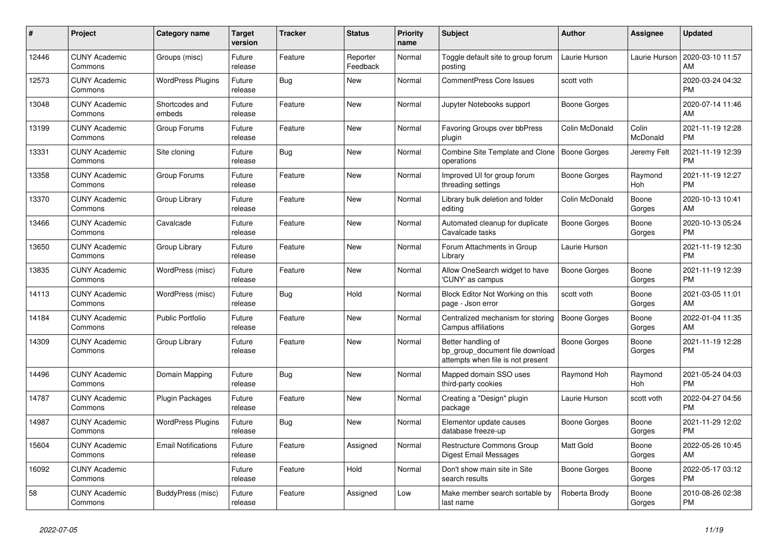| #     | <b>Project</b>                  | <b>Category name</b>       | <b>Target</b><br>version | <b>Tracker</b> | <b>Status</b>        | <b>Priority</b><br>name | <b>Subject</b>                                                                             | <b>Author</b>       | Assignee          | <b>Updated</b>                |
|-------|---------------------------------|----------------------------|--------------------------|----------------|----------------------|-------------------------|--------------------------------------------------------------------------------------------|---------------------|-------------------|-------------------------------|
| 12446 | <b>CUNY Academic</b><br>Commons | Groups (misc)              | Future<br>release        | Feature        | Reporter<br>Feedback | Normal                  | Toggle default site to group forum<br>posting                                              | Laurie Hurson       | Laurie Hurson     | 2020-03-10 11:57<br>AM        |
| 12573 | <b>CUNY Academic</b><br>Commons | <b>WordPress Plugins</b>   | Future<br>release        | <b>Bug</b>     | New                  | Normal                  | <b>CommentPress Core Issues</b>                                                            | scott voth          |                   | 2020-03-24 04:32<br><b>PM</b> |
| 13048 | <b>CUNY Academic</b><br>Commons | Shortcodes and<br>embeds   | Future<br>release        | Feature        | New                  | Normal                  | Jupyter Notebooks support                                                                  | Boone Gorges        |                   | 2020-07-14 11:46<br>AM        |
| 13199 | <b>CUNY Academic</b><br>Commons | Group Forums               | Future<br>release        | Feature        | <b>New</b>           | Normal                  | Favoring Groups over bbPress<br>plugin                                                     | Colin McDonald      | Colin<br>McDonald | 2021-11-19 12:28<br><b>PM</b> |
| 13331 | <b>CUNY Academic</b><br>Commons | Site cloning               | Future<br>release        | <b>Bug</b>     | New                  | Normal                  | <b>Combine Site Template and Clone</b><br>operations                                       | Boone Gorges        | Jeremy Felt       | 2021-11-19 12:39<br><b>PM</b> |
| 13358 | <b>CUNY Academic</b><br>Commons | Group Forums               | Future<br>release        | Feature        | New                  | Normal                  | Improved UI for group forum<br>threading settings                                          | Boone Gorges        | Raymond<br>Hoh    | 2021-11-19 12:27<br><b>PM</b> |
| 13370 | <b>CUNY Academic</b><br>Commons | Group Library              | Future<br>release        | Feature        | <b>New</b>           | Normal                  | Library bulk deletion and folder<br>editing                                                | Colin McDonald      | Boone<br>Gorges   | 2020-10-13 10:41<br>AM        |
| 13466 | <b>CUNY Academic</b><br>Commons | Cavalcade                  | Future<br>release        | Feature        | <b>New</b>           | Normal                  | Automated cleanup for duplicate<br>Cavalcade tasks                                         | Boone Gorges        | Boone<br>Gorges   | 2020-10-13 05:24<br><b>PM</b> |
| 13650 | <b>CUNY Academic</b><br>Commons | Group Library              | Future<br>release        | Feature        | New                  | Normal                  | Forum Attachments in Group<br>Library                                                      | Laurie Hurson       |                   | 2021-11-19 12:30<br><b>PM</b> |
| 13835 | <b>CUNY Academic</b><br>Commons | WordPress (misc)           | Future<br>release        | Feature        | <b>New</b>           | Normal                  | Allow OneSearch widget to have<br>'CUNY' as campus                                         | Boone Gorges        | Boone<br>Gorges   | 2021-11-19 12:39<br><b>PM</b> |
| 14113 | <b>CUNY Academic</b><br>Commons | WordPress (misc)           | Future<br>release        | Bug            | Hold                 | Normal                  | Block Editor Not Working on this<br>page - Json error                                      | scott voth          | Boone<br>Gorges   | 2021-03-05 11:01<br>AM        |
| 14184 | <b>CUNY Academic</b><br>Commons | <b>Public Portfolio</b>    | Future<br>release        | Feature        | New                  | Normal                  | Centralized mechanism for storing<br>Campus affiliations                                   | Boone Gorges        | Boone<br>Gorges   | 2022-01-04 11:35<br>AM        |
| 14309 | <b>CUNY Academic</b><br>Commons | Group Library              | Future<br>release        | Feature        | <b>New</b>           | Normal                  | Better handling of<br>bp_group_document file download<br>attempts when file is not present | Boone Gorges        | Boone<br>Gorges   | 2021-11-19 12:28<br><b>PM</b> |
| 14496 | <b>CUNY Academic</b><br>Commons | Domain Mapping             | Future<br>release        | Bug            | New                  | Normal                  | Mapped domain SSO uses<br>third-party cookies                                              | Raymond Hoh         | Raymond<br>Hoh    | 2021-05-24 04:03<br><b>PM</b> |
| 14787 | <b>CUNY Academic</b><br>Commons | <b>Plugin Packages</b>     | Future<br>release        | Feature        | New                  | Normal                  | Creating a "Design" plugin<br>package                                                      | Laurie Hurson       | scott voth        | 2022-04-27 04:56<br><b>PM</b> |
| 14987 | <b>CUNY Academic</b><br>Commons | <b>WordPress Plugins</b>   | Future<br>release        | <b>Bug</b>     | <b>New</b>           | Normal                  | Elementor update causes<br>database freeze-up                                              | <b>Boone Gorges</b> | Boone<br>Gorges   | 2021-11-29 12:02<br><b>PM</b> |
| 15604 | <b>CUNY Academic</b><br>Commons | <b>Email Notifications</b> | Future<br>release        | Feature        | Assigned             | Normal                  | Restructure Commons Group<br><b>Digest Email Messages</b>                                  | <b>Matt Gold</b>    | Boone<br>Gorges   | 2022-05-26 10:45<br>AM        |
| 16092 | <b>CUNY Academic</b><br>Commons |                            | Future<br>release        | Feature        | Hold                 | Normal                  | Don't show main site in Site<br>search results                                             | Boone Gorges        | Boone<br>Gorges   | 2022-05-17 03:12<br>PM        |
| 58    | <b>CUNY Academic</b><br>Commons | BuddyPress (misc)          | Future<br>release        | Feature        | Assigned             | Low                     | Make member search sortable by<br>last name                                                | Roberta Brody       | Boone<br>Gorges   | 2010-08-26 02:38<br><b>PM</b> |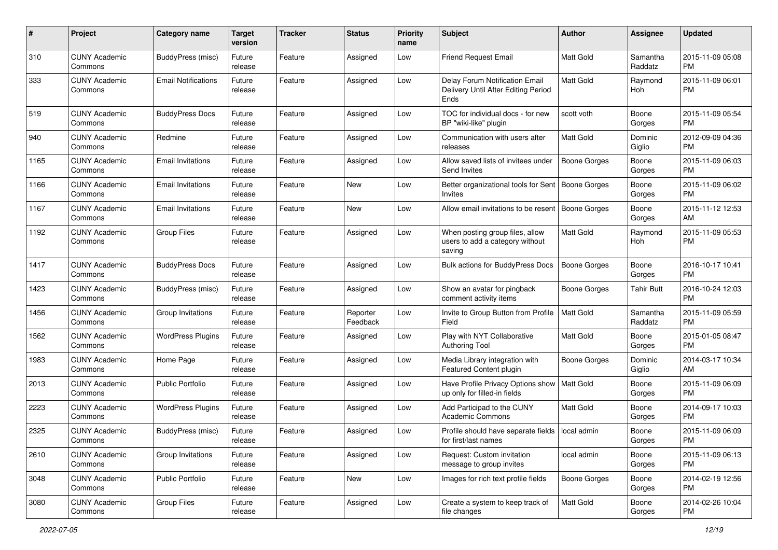| #    | Project                         | <b>Category name</b>       | <b>Target</b><br>version | <b>Tracker</b> | <b>Status</b>        | Priority<br>name | Subject                                                                       | Author              | <b>Assignee</b>     | <b>Updated</b>                |
|------|---------------------------------|----------------------------|--------------------------|----------------|----------------------|------------------|-------------------------------------------------------------------------------|---------------------|---------------------|-------------------------------|
| 310  | <b>CUNY Academic</b><br>Commons | BuddyPress (misc)          | Future<br>release        | Feature        | Assigned             | Low              | <b>Friend Request Email</b>                                                   | <b>Matt Gold</b>    | Samantha<br>Raddatz | 2015-11-09 05:08<br>PM.       |
| 333  | <b>CUNY Academic</b><br>Commons | <b>Email Notifications</b> | Future<br>release        | Feature        | Assigned             | Low              | Delay Forum Notification Email<br>Delivery Until After Editing Period<br>Ends | <b>Matt Gold</b>    | Raymond<br>Hoh      | 2015-11-09 06:01<br><b>PM</b> |
| 519  | <b>CUNY Academic</b><br>Commons | <b>BuddyPress Docs</b>     | Future<br>release        | Feature        | Assigned             | Low              | TOC for individual docs - for new<br>BP "wiki-like" plugin                    | scott voth          | Boone<br>Gorges     | 2015-11-09 05:54<br><b>PM</b> |
| 940  | <b>CUNY Academic</b><br>Commons | Redmine                    | Future<br>release        | Feature        | Assigned             | Low              | Communication with users after<br>releases                                    | <b>Matt Gold</b>    | Dominic<br>Giglio   | 2012-09-09 04:36<br><b>PM</b> |
| 1165 | <b>CUNY Academic</b><br>Commons | <b>Email Invitations</b>   | Future<br>release        | Feature        | Assigned             | Low              | Allow saved lists of invitees under<br>Send Invites                           | <b>Boone Gorges</b> | Boone<br>Gorges     | 2015-11-09 06:03<br>PM        |
| 1166 | <b>CUNY Academic</b><br>Commons | <b>Email Invitations</b>   | Future<br>release        | Feature        | New                  | Low              | Better organizational tools for Sent   Boone Gorges<br>Invites                |                     | Boone<br>Gorges     | 2015-11-09 06:02<br><b>PM</b> |
| 1167 | <b>CUNY Academic</b><br>Commons | <b>Email Invitations</b>   | Future<br>release        | Feature        | New                  | Low              | Allow email invitations to be resent                                          | Boone Gorges        | Boone<br>Gorges     | 2015-11-12 12:53<br>AM.       |
| 1192 | <b>CUNY Academic</b><br>Commons | <b>Group Files</b>         | Future<br>release        | Feature        | Assigned             | Low              | When posting group files, allow<br>users to add a category without<br>saving  | Matt Gold           | Raymond<br>Hoh      | 2015-11-09 05:53<br>PM        |
| 1417 | <b>CUNY Academic</b><br>Commons | <b>BuddyPress Docs</b>     | Future<br>release        | Feature        | Assigned             | Low              | <b>Bulk actions for BuddyPress Docs</b>                                       | <b>Boone Gorges</b> | Boone<br>Gorges     | 2016-10-17 10:41<br>PM.       |
| 1423 | <b>CUNY Academic</b><br>Commons | BuddyPress (misc)          | Future<br>release        | Feature        | Assigned             | Low              | Show an avatar for pingback<br>comment activity items                         | Boone Gorges        | <b>Tahir Butt</b>   | 2016-10-24 12:03<br><b>PM</b> |
| 1456 | <b>CUNY Academic</b><br>Commons | Group Invitations          | Future<br>release        | Feature        | Reporter<br>Feedback | Low              | Invite to Group Button from Profile<br>Field                                  | <b>Matt Gold</b>    | Samantha<br>Raddatz | 2015-11-09 05:59<br><b>PM</b> |
| 1562 | <b>CUNY Academic</b><br>Commons | <b>WordPress Plugins</b>   | Future<br>release        | Feature        | Assigned             | Low              | Play with NYT Collaborative<br><b>Authoring Tool</b>                          | <b>Matt Gold</b>    | Boone<br>Gorges     | 2015-01-05 08:47<br><b>PM</b> |
| 1983 | <b>CUNY Academic</b><br>Commons | Home Page                  | Future<br>release        | Feature        | Assigned             | Low              | Media Library integration with<br>Featured Content plugin                     | <b>Boone Gorges</b> | Dominic<br>Giglio   | 2014-03-17 10:34<br>AM        |
| 2013 | <b>CUNY Academic</b><br>Commons | <b>Public Portfolio</b>    | Future<br>release        | Feature        | Assigned             | Low              | Have Profile Privacy Options show<br>up only for filled-in fields             | Matt Gold           | Boone<br>Gorges     | 2015-11-09 06:09<br><b>PM</b> |
| 2223 | <b>CUNY Academic</b><br>Commons | <b>WordPress Plugins</b>   | Future<br>release        | Feature        | Assigned             | Low              | Add Participad to the CUNY<br><b>Academic Commons</b>                         | Matt Gold           | Boone<br>Gorges     | 2014-09-17 10:03<br><b>PM</b> |
| 2325 | <b>CUNY Academic</b><br>Commons | BuddyPress (misc)          | Future<br>release        | Feature        | Assigned             | Low              | Profile should have separate fields   local admin<br>for first/last names     |                     | Boone<br>Gorges     | 2015-11-09 06:09<br><b>PM</b> |
| 2610 | <b>CUNY Academic</b><br>Commons | Group Invitations          | Future<br>release        | Feature        | Assigned             | Low              | Request: Custom invitation<br>message to group invites                        | local admin         | Boone<br>Gorges     | 2015-11-09 06:13<br>PM.       |
| 3048 | <b>CUNY Academic</b><br>Commons | <b>Public Portfolio</b>    | Future<br>release        | Feature        | New                  | Low              | Images for rich text profile fields                                           | Boone Gorges        | Boone<br>Gorges     | 2014-02-19 12:56<br><b>PM</b> |
| 3080 | <b>CUNY Academic</b><br>Commons | Group Files                | Future<br>release        | Feature        | Assigned             | Low              | Create a system to keep track of<br>file changes                              | Matt Gold           | Boone<br>Gorges     | 2014-02-26 10:04<br><b>PM</b> |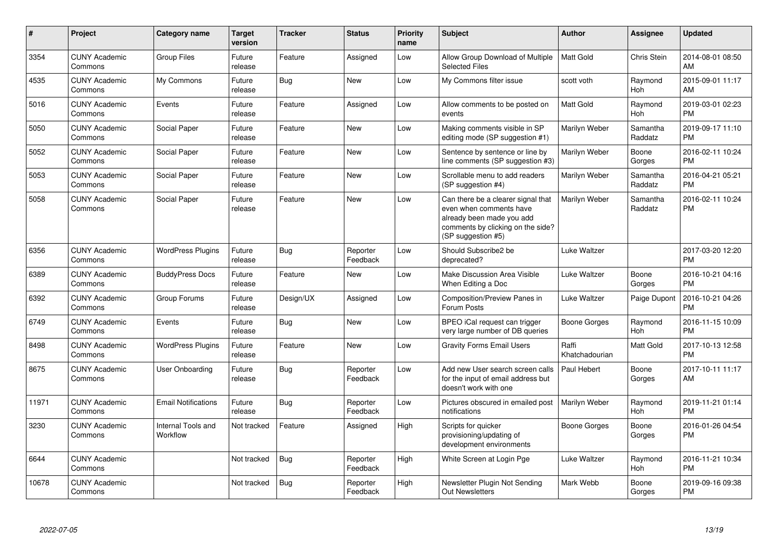| #     | Project                         | <b>Category name</b>           | <b>Target</b><br>version | <b>Tracker</b> | <b>Status</b>        | Priority<br>name | Subject                                                                                                                                               | <b>Author</b>           | <b>Assignee</b>     | <b>Updated</b>                |
|-------|---------------------------------|--------------------------------|--------------------------|----------------|----------------------|------------------|-------------------------------------------------------------------------------------------------------------------------------------------------------|-------------------------|---------------------|-------------------------------|
| 3354  | <b>CUNY Academic</b><br>Commons | <b>Group Files</b>             | Future<br>release        | Feature        | Assigned             | Low              | Allow Group Download of Multiple<br><b>Selected Files</b>                                                                                             | <b>Matt Gold</b>        | Chris Stein         | 2014-08-01 08:50<br>AM        |
| 4535  | <b>CUNY Academic</b><br>Commons | My Commons                     | Future<br>release        | Bug            | New                  | Low              | My Commons filter issue                                                                                                                               | scott voth              | Raymond<br>Hoh      | 2015-09-01 11:17<br>AM        |
| 5016  | <b>CUNY Academic</b><br>Commons | Events                         | Future<br>release        | Feature        | Assigned             | Low              | Allow comments to be posted on<br>events                                                                                                              | <b>Matt Gold</b>        | Raymond<br>Hoh      | 2019-03-01 02:23<br><b>PM</b> |
| 5050  | <b>CUNY Academic</b><br>Commons | Social Paper                   | Future<br>release        | Feature        | New                  | Low              | Making comments visible in SP<br>editing mode (SP suggestion #1)                                                                                      | Marilyn Weber           | Samantha<br>Raddatz | 2019-09-17 11:10<br><b>PM</b> |
| 5052  | <b>CUNY Academic</b><br>Commons | Social Paper                   | Future<br>release        | Feature        | New                  | Low              | Sentence by sentence or line by<br>line comments (SP suggestion #3)                                                                                   | Marilyn Weber           | Boone<br>Gorges     | 2016-02-11 10:24<br><b>PM</b> |
| 5053  | <b>CUNY Academic</b><br>Commons | Social Paper                   | Future<br>release        | Feature        | New                  | Low              | Scrollable menu to add readers<br>(SP suggestion #4)                                                                                                  | Marilyn Weber           | Samantha<br>Raddatz | 2016-04-21 05:21<br><b>PM</b> |
| 5058  | <b>CUNY Academic</b><br>Commons | Social Paper                   | Future<br>release        | Feature        | New                  | Low              | Can there be a clearer signal that<br>even when comments have<br>already been made you add<br>comments by clicking on the side?<br>(SP suggestion #5) | Marilyn Weber           | Samantha<br>Raddatz | 2016-02-11 10:24<br><b>PM</b> |
| 6356  | <b>CUNY Academic</b><br>Commons | <b>WordPress Plugins</b>       | Future<br>release        | <b>Bug</b>     | Reporter<br>Feedback | Low              | Should Subscribe2 be<br>deprecated?                                                                                                                   | Luke Waltzer            |                     | 2017-03-20 12:20<br><b>PM</b> |
| 6389  | <b>CUNY Academic</b><br>Commons | <b>BuddyPress Docs</b>         | Future<br>release        | Feature        | <b>New</b>           | Low              | Make Discussion Area Visible<br>When Editing a Doc                                                                                                    | Luke Waltzer            | Boone<br>Gorges     | 2016-10-21 04:16<br><b>PM</b> |
| 6392  | <b>CUNY Academic</b><br>Commons | Group Forums                   | Future<br>release        | Design/UX      | Assigned             | Low              | Composition/Preview Panes in<br>Forum Posts                                                                                                           | Luke Waltzer            | Paige Dupont        | 2016-10-21 04:26<br><b>PM</b> |
| 6749  | <b>CUNY Academic</b><br>Commons | Events                         | Future<br>release        | Bug            | <b>New</b>           | Low              | BPEO iCal request can trigger<br>very large number of DB queries                                                                                      | Boone Gorges            | Raymond<br>Hoh      | 2016-11-15 10:09<br><b>PM</b> |
| 8498  | <b>CUNY Academic</b><br>Commons | <b>WordPress Plugins</b>       | Future<br>release        | Feature        | <b>New</b>           | Low              | <b>Gravity Forms Email Users</b>                                                                                                                      | Raffi<br>Khatchadourian | Matt Gold           | 2017-10-13 12:58<br><b>PM</b> |
| 8675  | <b>CUNY Academic</b><br>Commons | User Onboarding                | Future<br>release        | Bug            | Reporter<br>Feedback | Low              | Add new User search screen calls<br>for the input of email address but<br>doesn't work with one                                                       | Paul Hebert             | Boone<br>Gorges     | 2017-10-11 11:17<br>AM        |
| 11971 | <b>CUNY Academic</b><br>Commons | <b>Email Notifications</b>     | Future<br>release        | Bug            | Reporter<br>Feedback | Low              | Pictures obscured in emailed post<br>notifications                                                                                                    | Marilyn Weber           | Raymond<br>Hoh      | 2019-11-21 01:14<br><b>PM</b> |
| 3230  | <b>CUNY Academic</b><br>Commons | Internal Tools and<br>Workflow | Not tracked              | Feature        | Assigned             | High             | Scripts for quicker<br>provisioning/updating of<br>development environments                                                                           | Boone Gorges            | Boone<br>Gorges     | 2016-01-26 04:54<br><b>PM</b> |
| 6644  | <b>CUNY Academic</b><br>Commons |                                | Not tracked              | Bug            | Reporter<br>Feedback | High             | White Screen at Login Pge                                                                                                                             | Luke Waltzer            | Raymond<br>Hoh      | 2016-11-21 10:34<br><b>PM</b> |
| 10678 | <b>CUNY Academic</b><br>Commons |                                | Not tracked              | Bug            | Reporter<br>Feedback | High             | Newsletter Plugin Not Sending<br><b>Out Newsletters</b>                                                                                               | Mark Webb               | Boone<br>Gorges     | 2019-09-16 09:38<br><b>PM</b> |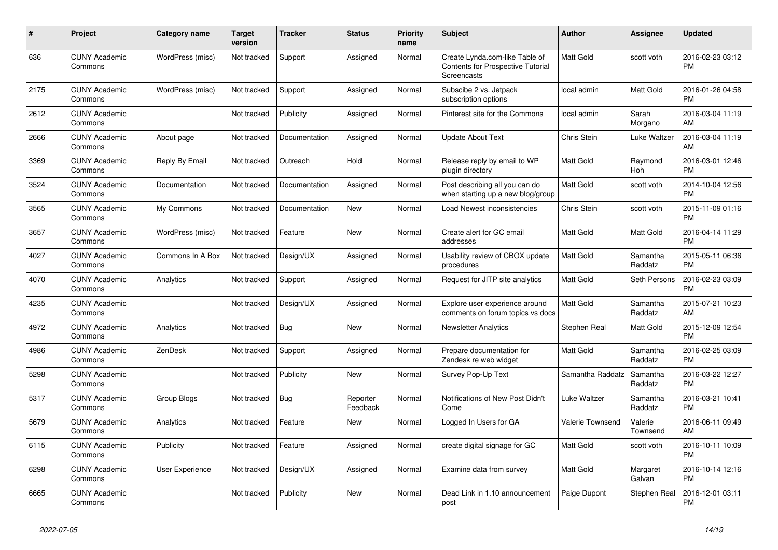| #    | <b>Project</b>                  | <b>Category name</b> | <b>Target</b><br>version | <b>Tracker</b> | <b>Status</b>        | <b>Priority</b><br>name | <b>Subject</b>                                                                                   | <b>Author</b>    | <b>Assignee</b>     | <b>Updated</b>                |
|------|---------------------------------|----------------------|--------------------------|----------------|----------------------|-------------------------|--------------------------------------------------------------------------------------------------|------------------|---------------------|-------------------------------|
| 636  | <b>CUNY Academic</b><br>Commons | WordPress (misc)     | Not tracked              | Support        | Assigned             | Normal                  | Create Lynda.com-like Table of<br><b>Contents for Prospective Tutorial</b><br><b>Screencasts</b> | <b>Matt Gold</b> | scott voth          | 2016-02-23 03:12<br>PM        |
| 2175 | <b>CUNY Academic</b><br>Commons | WordPress (misc)     | Not tracked              | Support        | Assigned             | Normal                  | Subscibe 2 vs. Jetpack<br>subscription options                                                   | local admin      | Matt Gold           | 2016-01-26 04:58<br><b>PM</b> |
| 2612 | <b>CUNY Academic</b><br>Commons |                      | Not tracked              | Publicity      | Assigned             | Normal                  | Pinterest site for the Commons                                                                   | local admin      | Sarah<br>Morgano    | 2016-03-04 11:19<br>AM        |
| 2666 | <b>CUNY Academic</b><br>Commons | About page           | Not tracked              | Documentation  | Assigned             | Normal                  | <b>Update About Text</b>                                                                         | Chris Stein      | Luke Waltzer        | 2016-03-04 11:19<br>AM        |
| 3369 | <b>CUNY Academic</b><br>Commons | Reply By Email       | Not tracked              | Outreach       | Hold                 | Normal                  | Release reply by email to WP<br>plugin directory                                                 | <b>Matt Gold</b> | Raymond<br>Hoh      | 2016-03-01 12:46<br><b>PM</b> |
| 3524 | <b>CUNY Academic</b><br>Commons | Documentation        | Not tracked              | Documentation  | Assigned             | Normal                  | Post describing all you can do<br>when starting up a new blog/group                              | <b>Matt Gold</b> | scott voth          | 2014-10-04 12:56<br><b>PM</b> |
| 3565 | <b>CUNY Academic</b><br>Commons | My Commons           | Not tracked              | Documentation  | New                  | Normal                  | Load Newest inconsistencies                                                                      | Chris Stein      | scott voth          | 2015-11-09 01:16<br><b>PM</b> |
| 3657 | <b>CUNY Academic</b><br>Commons | WordPress (misc)     | Not tracked              | Feature        | New                  | Normal                  | Create alert for GC email<br>addresses                                                           | <b>Matt Gold</b> | <b>Matt Gold</b>    | 2016-04-14 11:29<br><b>PM</b> |
| 4027 | <b>CUNY Academic</b><br>Commons | Commons In A Box     | Not tracked              | Design/UX      | Assigned             | Normal                  | Usability review of CBOX update<br>procedures                                                    | <b>Matt Gold</b> | Samantha<br>Raddatz | 2015-05-11 06:36<br><b>PM</b> |
| 4070 | <b>CUNY Academic</b><br>Commons | Analytics            | Not tracked              | Support        | Assigned             | Normal                  | Request for JITP site analytics                                                                  | Matt Gold        | Seth Persons        | 2016-02-23 03:09<br><b>PM</b> |
| 4235 | <b>CUNY Academic</b><br>Commons |                      | Not tracked              | Design/UX      | Assigned             | Normal                  | Explore user experience around<br>comments on forum topics vs docs                               | Matt Gold        | Samantha<br>Raddatz | 2015-07-21 10:23<br>AM        |
| 4972 | <b>CUNY Academic</b><br>Commons | Analytics            | Not tracked              | Bug            | <b>New</b>           | Normal                  | Newsletter Analytics                                                                             | Stephen Real     | Matt Gold           | 2015-12-09 12:54<br>PM        |
| 4986 | <b>CUNY Academic</b><br>Commons | ZenDesk              | Not tracked              | Support        | Assigned             | Normal                  | Prepare documentation for<br>Zendesk re web widget                                               | Matt Gold        | Samantha<br>Raddatz | 2016-02-25 03:09<br><b>PM</b> |
| 5298 | <b>CUNY Academic</b><br>Commons |                      | Not tracked              | Publicity      | New                  | Normal                  | Survey Pop-Up Text                                                                               | Samantha Raddatz | Samantha<br>Raddatz | 2016-03-22 12:27<br><b>PM</b> |
| 5317 | <b>CUNY Academic</b><br>Commons | Group Blogs          | Not tracked              | Bug            | Reporter<br>Feedback | Normal                  | Notifications of New Post Didn't<br>Come                                                         | Luke Waltzer     | Samantha<br>Raddatz | 2016-03-21 10:41<br><b>PM</b> |
| 5679 | <b>CUNY Academic</b><br>Commons | Analytics            | Not tracked              | Feature        | New                  | Normal                  | Logged In Users for GA                                                                           | Valerie Townsend | Valerie<br>Townsend | 2016-06-11 09:49<br>AM        |
| 6115 | <b>CUNY Academic</b><br>Commons | Publicity            | Not tracked              | Feature        | Assigned             | Normal                  | create digital signage for GC                                                                    | Matt Gold        | scott voth          | 2016-10-11 10:09<br><b>PM</b> |
| 6298 | <b>CUNY Academic</b><br>Commons | User Experience      | Not tracked              | Design/UX      | Assigned             | Normal                  | Examine data from survey                                                                         | <b>Matt Gold</b> | Margaret<br>Galvan  | 2016-10-14 12:16<br><b>PM</b> |
| 6665 | <b>CUNY Academic</b><br>Commons |                      | Not tracked              | Publicity      | <b>New</b>           | Normal                  | Dead Link in 1.10 announcement<br>post                                                           | Paige Dupont     | Stephen Real        | 2016-12-01 03:11<br>PM        |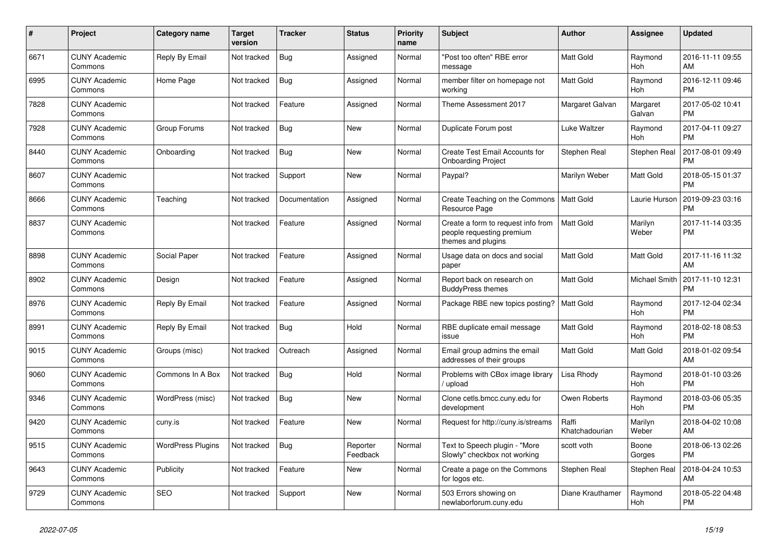| #    | Project                         | <b>Category name</b>     | <b>Target</b><br>version | <b>Tracker</b> | <b>Status</b>        | <b>Priority</b><br>name | <b>Subject</b>                                                                        | <b>Author</b>           | Assignee           | <b>Updated</b>                |
|------|---------------------------------|--------------------------|--------------------------|----------------|----------------------|-------------------------|---------------------------------------------------------------------------------------|-------------------------|--------------------|-------------------------------|
| 6671 | <b>CUNY Academic</b><br>Commons | Reply By Email           | Not tracked              | <b>Bug</b>     | Assigned             | Normal                  | "Post too often" RBE error<br>message                                                 | <b>Matt Gold</b>        | Raymond<br>Hoh     | 2016-11-11 09:55<br>AM        |
| 6995 | <b>CUNY Academic</b><br>Commons | Home Page                | Not tracked              | <b>Bug</b>     | Assigned             | Normal                  | member filter on homepage not<br>working                                              | <b>Matt Gold</b>        | Raymond<br>Hoh     | 2016-12-11 09:46<br><b>PM</b> |
| 7828 | <b>CUNY Academic</b><br>Commons |                          | Not tracked              | Feature        | Assigned             | Normal                  | Theme Assessment 2017                                                                 | Margaret Galvan         | Margaret<br>Galvan | 2017-05-02 10:41<br><b>PM</b> |
| 7928 | <b>CUNY Academic</b><br>Commons | Group Forums             | Not tracked              | <b>Bug</b>     | <b>New</b>           | Normal                  | Duplicate Forum post                                                                  | Luke Waltzer            | Raymond<br>Hoh     | 2017-04-11 09:27<br><b>PM</b> |
| 8440 | <b>CUNY Academic</b><br>Commons | Onboarding               | Not tracked              | Bug            | New                  | Normal                  | Create Test Email Accounts for<br><b>Onboarding Project</b>                           | Stephen Real            | Stephen Real       | 2017-08-01 09:49<br><b>PM</b> |
| 8607 | <b>CUNY Academic</b><br>Commons |                          | Not tracked              | Support        | New                  | Normal                  | Paypal?                                                                               | Marilyn Weber           | Matt Gold          | 2018-05-15 01:37<br><b>PM</b> |
| 8666 | <b>CUNY Academic</b><br>Commons | Teaching                 | Not tracked              | Documentation  | Assigned             | Normal                  | Create Teaching on the Commons<br>Resource Page                                       | <b>Matt Gold</b>        | Laurie Hurson      | 2019-09-23 03:16<br><b>PM</b> |
| 8837 | <b>CUNY Academic</b><br>Commons |                          | Not tracked              | Feature        | Assigned             | Normal                  | Create a form to request info from<br>people requesting premium<br>themes and plugins | <b>Matt Gold</b>        | Marilyn<br>Weber   | 2017-11-14 03:35<br><b>PM</b> |
| 8898 | <b>CUNY Academic</b><br>Commons | Social Paper             | Not tracked              | Feature        | Assigned             | Normal                  | Usage data on docs and social<br>paper                                                | <b>Matt Gold</b>        | Matt Gold          | 2017-11-16 11:32<br>AM        |
| 8902 | <b>CUNY Academic</b><br>Commons | Design                   | Not tracked              | Feature        | Assigned             | Normal                  | Report back on research on<br><b>BuddyPress themes</b>                                | Matt Gold               | Michael Smith      | 2017-11-10 12:31<br><b>PM</b> |
| 8976 | <b>CUNY Academic</b><br>Commons | Reply By Email           | Not tracked              | Feature        | Assigned             | Normal                  | Package RBE new topics posting?                                                       | <b>Matt Gold</b>        | Raymond<br>Hoh     | 2017-12-04 02:34<br><b>PM</b> |
| 8991 | <b>CUNY Academic</b><br>Commons | Reply By Email           | Not tracked              | Bug            | Hold                 | Normal                  | RBE duplicate email message<br>issue                                                  | <b>Matt Gold</b>        | Raymond<br>Hoh     | 2018-02-18 08:53<br><b>PM</b> |
| 9015 | <b>CUNY Academic</b><br>Commons | Groups (misc)            | Not tracked              | Outreach       | Assigned             | Normal                  | Email group admins the email<br>addresses of their groups                             | Matt Gold               | Matt Gold          | 2018-01-02 09:54<br>AM        |
| 9060 | <b>CUNY Academic</b><br>Commons | Commons In A Box         | Not tracked              | <b>Bug</b>     | Hold                 | Normal                  | Problems with CBox image library<br>upload                                            | Lisa Rhody              | Raymond<br>Hoh     | 2018-01-10 03:26<br><b>PM</b> |
| 9346 | <b>CUNY Academic</b><br>Commons | WordPress (misc)         | Not tracked              | Bug            | New                  | Normal                  | Clone cetls.bmcc.cuny.edu for<br>development                                          | Owen Roberts            | Raymond<br>Hoh     | 2018-03-06 05:35<br><b>PM</b> |
| 9420 | <b>CUNY Academic</b><br>Commons | cuny.is                  | Not tracked              | Feature        | New                  | Normal                  | Request for http://cuny.is/streams                                                    | Raffi<br>Khatchadourian | Marilyn<br>Weber   | 2018-04-02 10:08<br>AM        |
| 9515 | <b>CUNY Academic</b><br>Commons | <b>WordPress Plugins</b> | Not tracked              | Bug            | Reporter<br>Feedback | Normal                  | Text to Speech plugin - "More<br>Slowly" checkbox not working                         | scott voth              | Boone<br>Gorges    | 2018-06-13 02:26<br><b>PM</b> |
| 9643 | <b>CUNY Academic</b><br>Commons | Publicity                | Not tracked              | Feature        | <b>New</b>           | Normal                  | Create a page on the Commons<br>for logos etc.                                        | Stephen Real            | Stephen Real       | 2018-04-24 10:53<br>AM        |
| 9729 | <b>CUNY Academic</b><br>Commons | <b>SEO</b>               | Not tracked              | Support        | New                  | Normal                  | 503 Errors showing on<br>newlaborforum.cuny.edu                                       | Diane Krauthamer        | Raymond<br>Hoh     | 2018-05-22 04:48<br><b>PM</b> |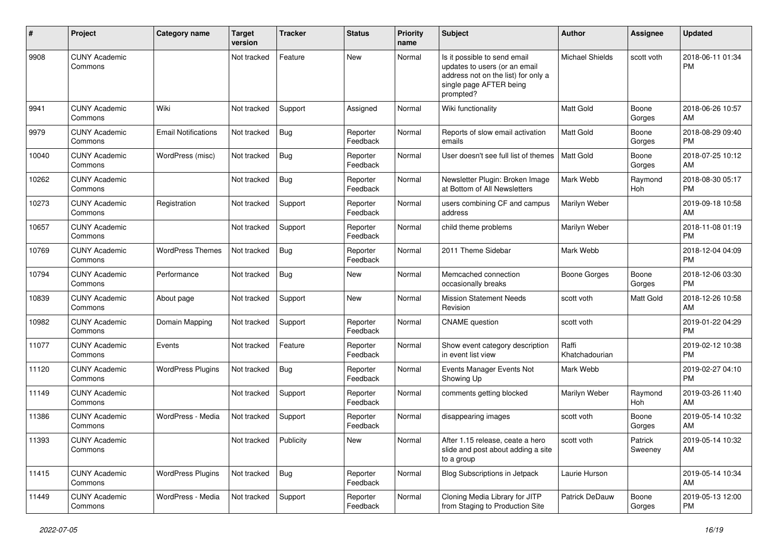| #     | Project                         | Category name              | <b>Target</b><br>version | <b>Tracker</b> | <b>Status</b>        | <b>Priority</b><br>name | <b>Subject</b>                                                                                                                               | <b>Author</b>           | Assignee           | <b>Updated</b>                |
|-------|---------------------------------|----------------------------|--------------------------|----------------|----------------------|-------------------------|----------------------------------------------------------------------------------------------------------------------------------------------|-------------------------|--------------------|-------------------------------|
| 9908  | <b>CUNY Academic</b><br>Commons |                            | Not tracked              | Feature        | <b>New</b>           | Normal                  | Is it possible to send email<br>updates to users (or an email<br>address not on the list) for only a<br>single page AFTER being<br>prompted? | <b>Michael Shields</b>  | scott voth         | 2018-06-11 01:34<br><b>PM</b> |
| 9941  | <b>CUNY Academic</b><br>Commons | Wiki                       | Not tracked              | Support        | Assigned             | Normal                  | Wiki functionality                                                                                                                           | <b>Matt Gold</b>        | Boone<br>Gorges    | 2018-06-26 10:57<br>AM        |
| 9979  | <b>CUNY Academic</b><br>Commons | <b>Email Notifications</b> | Not tracked              | Bug            | Reporter<br>Feedback | Normal                  | Reports of slow email activation<br>emails                                                                                                   | Matt Gold               | Boone<br>Gorges    | 2018-08-29 09:40<br><b>PM</b> |
| 10040 | <b>CUNY Academic</b><br>Commons | WordPress (misc)           | Not tracked              | Bug            | Reporter<br>Feedback | Normal                  | User doesn't see full list of themes                                                                                                         | <b>Matt Gold</b>        | Boone<br>Gorges    | 2018-07-25 10:12<br>AM        |
| 10262 | <b>CUNY Academic</b><br>Commons |                            | Not tracked              | Bug            | Reporter<br>Feedback | Normal                  | Newsletter Plugin: Broken Image<br>at Bottom of All Newsletters                                                                              | Mark Webb               | Raymond<br>Hoh     | 2018-08-30 05:17<br><b>PM</b> |
| 10273 | <b>CUNY Academic</b><br>Commons | Registration               | Not tracked              | Support        | Reporter<br>Feedback | Normal                  | users combining CF and campus<br>address                                                                                                     | Marilyn Weber           |                    | 2019-09-18 10:58<br>AM        |
| 10657 | <b>CUNY Academic</b><br>Commons |                            | Not tracked              | Support        | Reporter<br>Feedback | Normal                  | child theme problems                                                                                                                         | Marilyn Weber           |                    | 2018-11-08 01:19<br><b>PM</b> |
| 10769 | <b>CUNY Academic</b><br>Commons | <b>WordPress Themes</b>    | Not tracked              | Bug            | Reporter<br>Feedback | Normal                  | 2011 Theme Sidebar                                                                                                                           | Mark Webb               |                    | 2018-12-04 04:09<br><b>PM</b> |
| 10794 | <b>CUNY Academic</b><br>Commons | Performance                | Not tracked              | Bug            | New                  | Normal                  | Memcached connection<br>occasionally breaks                                                                                                  | <b>Boone Gorges</b>     | Boone<br>Gorges    | 2018-12-06 03:30<br><b>PM</b> |
| 10839 | <b>CUNY Academic</b><br>Commons | About page                 | Not tracked              | Support        | <b>New</b>           | Normal                  | <b>Mission Statement Needs</b><br>Revision                                                                                                   | scott voth              | Matt Gold          | 2018-12-26 10:58<br>AM        |
| 10982 | <b>CUNY Academic</b><br>Commons | Domain Mapping             | Not tracked              | Support        | Reporter<br>Feedback | Normal                  | <b>CNAME</b> question                                                                                                                        | scott voth              |                    | 2019-01-22 04:29<br><b>PM</b> |
| 11077 | <b>CUNY Academic</b><br>Commons | Events                     | Not tracked              | Feature        | Reporter<br>Feedback | Normal                  | Show event category description<br>in event list view                                                                                        | Raffi<br>Khatchadourian |                    | 2019-02-12 10:38<br><b>PM</b> |
| 11120 | <b>CUNY Academic</b><br>Commons | <b>WordPress Plugins</b>   | Not tracked              | Bug            | Reporter<br>Feedback | Normal                  | Events Manager Events Not<br>Showing Up                                                                                                      | Mark Webb               |                    | 2019-02-27 04:10<br><b>PM</b> |
| 11149 | <b>CUNY Academic</b><br>Commons |                            | Not tracked              | Support        | Reporter<br>Feedback | Normal                  | comments getting blocked                                                                                                                     | Marilyn Weber           | Raymond<br>Hoh     | 2019-03-26 11:40<br>AM        |
| 11386 | <b>CUNY Academic</b><br>Commons | WordPress - Media          | Not tracked              | Support        | Reporter<br>Feedback | Normal                  | disappearing images                                                                                                                          | scott voth              | Boone<br>Gorges    | 2019-05-14 10:32<br>AM        |
| 11393 | <b>CUNY Academic</b><br>Commons |                            | Not tracked Publicity    |                | New                  | Normal                  | After 1.15 release, ceate a hero<br>slide and post about adding a site<br>to a group                                                         | scott voth              | Patrick<br>Sweeney | 2019-05-14 10:32<br>AM        |
| 11415 | <b>CUNY Academic</b><br>Commons | <b>WordPress Plugins</b>   | Not tracked              | Bug            | Reporter<br>Feedback | Normal                  | <b>Blog Subscriptions in Jetpack</b>                                                                                                         | Laurie Hurson           |                    | 2019-05-14 10:34<br>AM        |
| 11449 | <b>CUNY Academic</b><br>Commons | WordPress - Media          | Not tracked              | Support        | Reporter<br>Feedback | Normal                  | Cloning Media Library for JITP<br>from Staging to Production Site                                                                            | Patrick DeDauw          | Boone<br>Gorges    | 2019-05-13 12:00<br><b>PM</b> |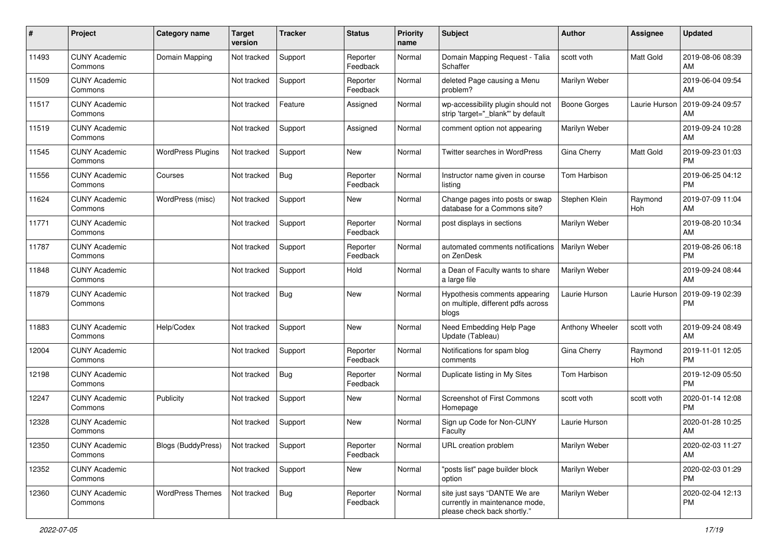| #     | Project                         | <b>Category name</b>      | <b>Target</b><br>version | <b>Tracker</b> | <b>Status</b>        | <b>Priority</b><br>name | <b>Subject</b>                                                                                | Author              | <b>Assignee</b> | <b>Updated</b>                |
|-------|---------------------------------|---------------------------|--------------------------|----------------|----------------------|-------------------------|-----------------------------------------------------------------------------------------------|---------------------|-----------------|-------------------------------|
| 11493 | <b>CUNY Academic</b><br>Commons | Domain Mapping            | Not tracked              | Support        | Reporter<br>Feedback | Normal                  | Domain Mapping Request - Talia<br>Schaffer                                                    | scott voth          | Matt Gold       | 2019-08-06 08:39<br>AM        |
| 11509 | <b>CUNY Academic</b><br>Commons |                           | Not tracked              | Support        | Reporter<br>Feedback | Normal                  | deleted Page causing a Menu<br>problem?                                                       | Marilyn Weber       |                 | 2019-06-04 09:54<br>AM        |
| 11517 | <b>CUNY Academic</b><br>Commons |                           | Not tracked              | Feature        | Assigned             | Normal                  | wp-accessibility plugin should not<br>strip 'target="_blank" by default                       | <b>Boone Gorges</b> | Laurie Hurson   | 2019-09-24 09:57<br>AM        |
| 11519 | <b>CUNY Academic</b><br>Commons |                           | Not tracked              | Support        | Assigned             | Normal                  | comment option not appearing                                                                  | Marilyn Weber       |                 | 2019-09-24 10:28<br>AM        |
| 11545 | <b>CUNY Academic</b><br>Commons | <b>WordPress Plugins</b>  | Not tracked              | Support        | New                  | Normal                  | Twitter searches in WordPress                                                                 | Gina Cherry         | Matt Gold       | 2019-09-23 01:03<br><b>PM</b> |
| 11556 | <b>CUNY Academic</b><br>Commons | Courses                   | Not tracked              | Bug            | Reporter<br>Feedback | Normal                  | Instructor name given in course<br>listing                                                    | Tom Harbison        |                 | 2019-06-25 04:12<br><b>PM</b> |
| 11624 | <b>CUNY Academic</b><br>Commons | WordPress (misc)          | Not tracked              | Support        | New                  | Normal                  | Change pages into posts or swap<br>database for a Commons site?                               | Stephen Klein       | Raymond<br>Hoh  | 2019-07-09 11:04<br>AM        |
| 11771 | <b>CUNY Academic</b><br>Commons |                           | Not tracked              | Support        | Reporter<br>Feedback | Normal                  | post displays in sections                                                                     | Marilyn Weber       |                 | 2019-08-20 10:34<br>AM        |
| 11787 | <b>CUNY Academic</b><br>Commons |                           | Not tracked              | Support        | Reporter<br>Feedback | Normal                  | automated comments notifications<br>on ZenDesk                                                | Marilyn Weber       |                 | 2019-08-26 06:18<br><b>PM</b> |
| 11848 | <b>CUNY Academic</b><br>Commons |                           | Not tracked              | Support        | Hold                 | Normal                  | a Dean of Faculty wants to share<br>a large file                                              | Marilyn Weber       |                 | 2019-09-24 08:44<br>AM        |
| 11879 | <b>CUNY Academic</b><br>Commons |                           | Not tracked              | Bug            | New                  | Normal                  | Hypothesis comments appearing<br>on multiple, different pdfs across<br>blogs                  | Laurie Hurson       | Laurie Hurson   | 2019-09-19 02:39<br><b>PM</b> |
| 11883 | <b>CUNY Academic</b><br>Commons | Help/Codex                | Not tracked              | Support        | New                  | Normal                  | Need Embedding Help Page<br>Update (Tableau)                                                  | Anthony Wheeler     | scott voth      | 2019-09-24 08:49<br>AM        |
| 12004 | <b>CUNY Academic</b><br>Commons |                           | Not tracked              | Support        | Reporter<br>Feedback | Normal                  | Notifications for spam blog<br>comments                                                       | Gina Cherry         | Raymond<br>Hoh  | 2019-11-01 12:05<br><b>PM</b> |
| 12198 | <b>CUNY Academic</b><br>Commons |                           | Not tracked              | Bug            | Reporter<br>Feedback | Normal                  | Duplicate listing in My Sites                                                                 | Tom Harbison        |                 | 2019-12-09 05:50<br><b>PM</b> |
| 12247 | <b>CUNY Academic</b><br>Commons | Publicity                 | Not tracked              | Support        | New                  | Normal                  | Screenshot of First Commons<br>Homepage                                                       | scott voth          | scott voth      | 2020-01-14 12:08<br><b>PM</b> |
| 12328 | <b>CUNY Academic</b><br>Commons |                           | Not tracked              | Support        | New                  | Normal                  | Sign up Code for Non-CUNY<br>Faculty                                                          | Laurie Hurson       |                 | 2020-01-28 10:25<br>AM        |
| 12350 | <b>CUNY Academic</b><br>Commons | <b>Blogs (BuddyPress)</b> | Not tracked              | Support        | Reporter<br>Feedback | Normal                  | URL creation problem                                                                          | Marilyn Weber       |                 | 2020-02-03 11:27<br>AM        |
| 12352 | <b>CUNY Academic</b><br>Commons |                           | Not tracked              | Support        | New                  | Normal                  | "posts list" page builder block<br>option                                                     | Marilyn Weber       |                 | 2020-02-03 01:29<br><b>PM</b> |
| 12360 | <b>CUNY Academic</b><br>Commons | <b>WordPress Themes</b>   | Not tracked              | <b>Bug</b>     | Reporter<br>Feedback | Normal                  | site just says "DANTE We are<br>currently in maintenance mode,<br>please check back shortly." | Marilyn Weber       |                 | 2020-02-04 12:13<br><b>PM</b> |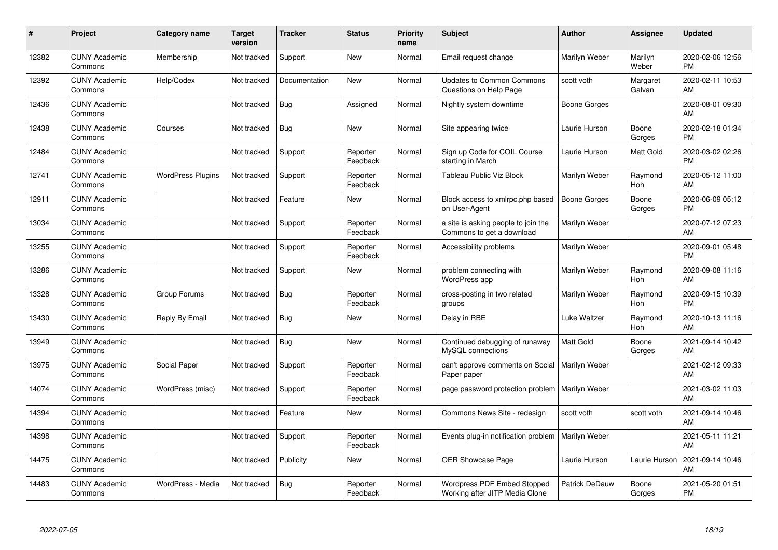| #     | Project                         | Category name            | Target<br>version | <b>Tracker</b> | <b>Status</b>        | <b>Priority</b><br>name | <b>Subject</b>                                                   | <b>Author</b>        | <b>Assignee</b>    | <b>Updated</b>                |
|-------|---------------------------------|--------------------------|-------------------|----------------|----------------------|-------------------------|------------------------------------------------------------------|----------------------|--------------------|-------------------------------|
| 12382 | <b>CUNY Academic</b><br>Commons | Membership               | Not tracked       | Support        | <b>New</b>           | Normal                  | Email request change                                             | Marilyn Weber        | Marilyn<br>Weber   | 2020-02-06 12:56<br><b>PM</b> |
| 12392 | <b>CUNY Academic</b><br>Commons | Help/Codex               | Not tracked       | Documentation  | New                  | Normal                  | <b>Updates to Common Commons</b><br>Questions on Help Page       | scott voth           | Margaret<br>Galvan | 2020-02-11 10:53<br>AM        |
| 12436 | <b>CUNY Academic</b><br>Commons |                          | Not tracked       | <b>Bug</b>     | Assigned             | Normal                  | Nightly system downtime                                          | Boone Gorges         |                    | 2020-08-01 09:30<br>AM        |
| 12438 | <b>CUNY Academic</b><br>Commons | Courses                  | Not tracked       | Bug            | <b>New</b>           | Normal                  | Site appearing twice                                             | Laurie Hurson        | Boone<br>Gorges    | 2020-02-18 01:34<br><b>PM</b> |
| 12484 | <b>CUNY Academic</b><br>Commons |                          | Not tracked       | Support        | Reporter<br>Feedback | Normal                  | Sign up Code for COIL Course<br>starting in March                | Laurie Hurson        | Matt Gold          | 2020-03-02 02:26<br><b>PM</b> |
| 12741 | <b>CUNY Academic</b><br>Commons | <b>WordPress Plugins</b> | Not tracked       | Support        | Reporter<br>Feedback | Normal                  | Tableau Public Viz Block                                         | Marilyn Weber        | Raymond<br>Hoh     | 2020-05-12 11:00<br>AM        |
| 12911 | <b>CUNY Academic</b><br>Commons |                          | Not tracked       | Feature        | <b>New</b>           | Normal                  | Block access to xmlrpc.php based<br>on User-Agent                | <b>Boone Gorges</b>  | Boone<br>Gorges    | 2020-06-09 05:12<br><b>PM</b> |
| 13034 | <b>CUNY Academic</b><br>Commons |                          | Not tracked       | Support        | Reporter<br>Feedback | Normal                  | a site is asking people to join the<br>Commons to get a download | Marilyn Weber        |                    | 2020-07-12 07:23<br>AM        |
| 13255 | <b>CUNY Academic</b><br>Commons |                          | Not tracked       | Support        | Reporter<br>Feedback | Normal                  | Accessibility problems                                           | Marilyn Weber        |                    | 2020-09-01 05:48<br><b>PM</b> |
| 13286 | <b>CUNY Academic</b><br>Commons |                          | Not tracked       | Support        | <b>New</b>           | Normal                  | problem connecting with<br>WordPress app                         | Marilyn Weber        | Raymond<br>Hoh     | 2020-09-08 11:16<br>AM        |
| 13328 | <b>CUNY Academic</b><br>Commons | Group Forums             | Not tracked       | <b>Bug</b>     | Reporter<br>Feedback | Normal                  | cross-posting in two related<br>groups                           | Marilyn Weber        | Raymond<br>Hoh     | 2020-09-15 10:39<br><b>PM</b> |
| 13430 | <b>CUNY Academic</b><br>Commons | Reply By Email           | Not tracked       | Bug            | <b>New</b>           | Normal                  | Delay in RBE                                                     | Luke Waltzer         | Raymond<br>Hoh     | 2020-10-13 11:16<br>AM        |
| 13949 | <b>CUNY Academic</b><br>Commons |                          | Not tracked       | Bug            | New                  | Normal                  | Continued debugging of runaway<br>MySQL connections              | <b>Matt Gold</b>     | Boone<br>Gorges    | 2021-09-14 10:42<br>AM        |
| 13975 | <b>CUNY Academic</b><br>Commons | Social Paper             | Not tracked       | Support        | Reporter<br>Feedback | Normal                  | can't approve comments on Social<br>Paper paper                  | <b>Marilyn Weber</b> |                    | 2021-02-12 09:33<br>AM        |
| 14074 | <b>CUNY Academic</b><br>Commons | WordPress (misc)         | Not tracked       | Support        | Reporter<br>Feedback | Normal                  | page password protection problem                                 | Marilyn Weber        |                    | 2021-03-02 11:03<br>AM        |
| 14394 | <b>CUNY Academic</b><br>Commons |                          | Not tracked       | Feature        | New                  | Normal                  | Commons News Site - redesign                                     | scott voth           | scott voth         | 2021-09-14 10:46<br>AM        |
| 14398 | <b>CUNY Academic</b><br>Commons |                          | Not tracked       | Support        | Reporter<br>Feedback | Normal                  | Events plug-in notification problem   Marilyn Weber              |                      |                    | 2021-05-11 11:21<br>AM        |
| 14475 | <b>CUNY Academic</b><br>Commons |                          | Not tracked       | Publicity      | New                  | Normal                  | OER Showcase Page                                                | Laurie Hurson        | Laurie Hurson      | 2021-09-14 10:46<br>AM        |
| 14483 | <b>CUNY Academic</b><br>Commons | WordPress - Media        | Not tracked       | <b>Bug</b>     | Reporter<br>Feedback | Normal                  | Wordpress PDF Embed Stopped<br>Working after JITP Media Clone    | Patrick DeDauw       | Boone<br>Gorges    | 2021-05-20 01:51<br><b>PM</b> |